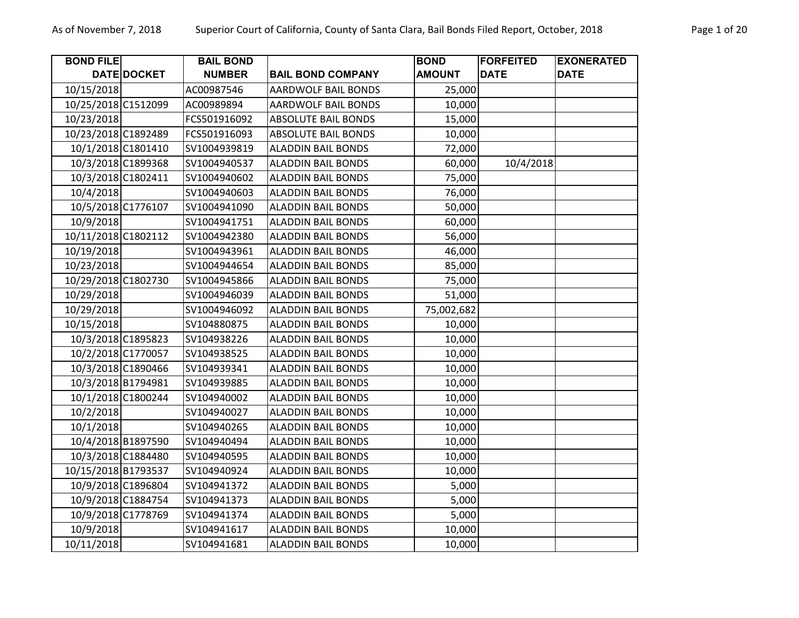| <b>BOND FILE</b>    |             | <b>BAIL BOND</b> |                            | <b>BOND</b>   | <b>FORFEITED</b> | <b>EXONERATED</b> |
|---------------------|-------------|------------------|----------------------------|---------------|------------------|-------------------|
|                     | DATE DOCKET | <b>NUMBER</b>    | <b>BAIL BOND COMPANY</b>   | <b>AMOUNT</b> | <b>DATE</b>      | <b>DATE</b>       |
| 10/15/2018          |             | AC00987546       | <b>AARDWOLF BAIL BONDS</b> | 25,000        |                  |                   |
| 10/25/2018 C1512099 |             | AC00989894       | AARDWOLF BAIL BONDS        | 10,000        |                  |                   |
| 10/23/2018          |             | FCS501916092     | <b>ABSOLUTE BAIL BONDS</b> | 15,000        |                  |                   |
| 10/23/2018 C1892489 |             | FCS501916093     | <b>ABSOLUTE BAIL BONDS</b> | 10,000        |                  |                   |
| 10/1/2018 C1801410  |             | SV1004939819     | <b>ALADDIN BAIL BONDS</b>  | 72,000        |                  |                   |
| 10/3/2018 C1899368  |             | SV1004940537     | <b>ALADDIN BAIL BONDS</b>  | 60,000        | 10/4/2018        |                   |
| 10/3/2018 C1802411  |             | SV1004940602     | <b>ALADDIN BAIL BONDS</b>  | 75,000        |                  |                   |
| 10/4/2018           |             | SV1004940603     | <b>ALADDIN BAIL BONDS</b>  | 76,000        |                  |                   |
| 10/5/2018 C1776107  |             | SV1004941090     | <b>ALADDIN BAIL BONDS</b>  | 50,000        |                  |                   |
| 10/9/2018           |             | SV1004941751     | <b>ALADDIN BAIL BONDS</b>  | 60,000        |                  |                   |
| 10/11/2018 C1802112 |             | SV1004942380     | <b>ALADDIN BAIL BONDS</b>  | 56,000        |                  |                   |
| 10/19/2018          |             | SV1004943961     | <b>ALADDIN BAIL BONDS</b>  | 46,000        |                  |                   |
| 10/23/2018          |             | SV1004944654     | <b>ALADDIN BAIL BONDS</b>  | 85,000        |                  |                   |
| 10/29/2018 C1802730 |             | SV1004945866     | <b>ALADDIN BAIL BONDS</b>  | 75,000        |                  |                   |
| 10/29/2018          |             | SV1004946039     | <b>ALADDIN BAIL BONDS</b>  | 51,000        |                  |                   |
| 10/29/2018          |             | SV1004946092     | <b>ALADDIN BAIL BONDS</b>  | 75,002,682    |                  |                   |
| 10/15/2018          |             | SV104880875      | <b>ALADDIN BAIL BONDS</b>  | 10,000        |                  |                   |
| 10/3/2018 C1895823  |             | SV104938226      | <b>ALADDIN BAIL BONDS</b>  | 10,000        |                  |                   |
| 10/2/2018 C1770057  |             | SV104938525      | <b>ALADDIN BAIL BONDS</b>  | 10,000        |                  |                   |
| 10/3/2018 C1890466  |             | SV104939341      | <b>ALADDIN BAIL BONDS</b>  | 10,000        |                  |                   |
| 10/3/2018 B1794981  |             | SV104939885      | <b>ALADDIN BAIL BONDS</b>  | 10,000        |                  |                   |
| 10/1/2018 C1800244  |             | SV104940002      | <b>ALADDIN BAIL BONDS</b>  | 10,000        |                  |                   |
| 10/2/2018           |             | SV104940027      | <b>ALADDIN BAIL BONDS</b>  | 10,000        |                  |                   |
| 10/1/2018           |             | SV104940265      | <b>ALADDIN BAIL BONDS</b>  | 10,000        |                  |                   |
| 10/4/2018 B1897590  |             | SV104940494      | <b>ALADDIN BAIL BONDS</b>  | 10,000        |                  |                   |
| 10/3/2018 C1884480  |             | SV104940595      | <b>ALADDIN BAIL BONDS</b>  | 10,000        |                  |                   |
| 10/15/2018 B1793537 |             | SV104940924      | <b>ALADDIN BAIL BONDS</b>  | 10,000        |                  |                   |
| 10/9/2018 C1896804  |             | SV104941372      | <b>ALADDIN BAIL BONDS</b>  | 5,000         |                  |                   |
| 10/9/2018 C1884754  |             | SV104941373      | <b>ALADDIN BAIL BONDS</b>  | 5,000         |                  |                   |
| 10/9/2018 C1778769  |             | SV104941374      | <b>ALADDIN BAIL BONDS</b>  | 5,000         |                  |                   |
| 10/9/2018           |             | SV104941617      | <b>ALADDIN BAIL BONDS</b>  | 10,000        |                  |                   |
| 10/11/2018          |             | SV104941681      | <b>ALADDIN BAIL BONDS</b>  | 10,000        |                  |                   |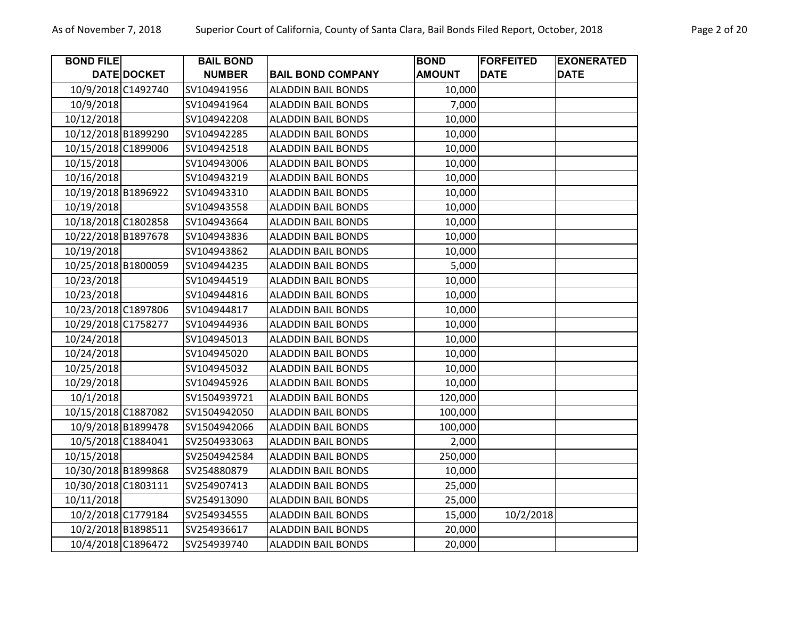| <b>BOND FILE</b>    |             | <b>BAIL BOND</b> |                           | <b>BOND</b>   | <b>FORFEITED</b> | <b>EXONERATED</b> |
|---------------------|-------------|------------------|---------------------------|---------------|------------------|-------------------|
|                     | DATE DOCKET | <b>NUMBER</b>    | <b>BAIL BOND COMPANY</b>  | <b>AMOUNT</b> | <b>DATE</b>      | <b>DATE</b>       |
| 10/9/2018 C1492740  |             | SV104941956      | <b>ALADDIN BAIL BONDS</b> | 10,000        |                  |                   |
| 10/9/2018           |             | SV104941964      | <b>ALADDIN BAIL BONDS</b> | 7,000         |                  |                   |
| 10/12/2018          |             | SV104942208      | <b>ALADDIN BAIL BONDS</b> | 10,000        |                  |                   |
| 10/12/2018 B1899290 |             | SV104942285      | <b>ALADDIN BAIL BONDS</b> | 10,000        |                  |                   |
| 10/15/2018 C1899006 |             | SV104942518      | <b>ALADDIN BAIL BONDS</b> | 10,000        |                  |                   |
| 10/15/2018          |             | SV104943006      | <b>ALADDIN BAIL BONDS</b> | 10,000        |                  |                   |
| 10/16/2018          |             | SV104943219      | <b>ALADDIN BAIL BONDS</b> | 10,000        |                  |                   |
| 10/19/2018 B1896922 |             | SV104943310      | <b>ALADDIN BAIL BONDS</b> | 10,000        |                  |                   |
| 10/19/2018          |             | SV104943558      | <b>ALADDIN BAIL BONDS</b> | 10,000        |                  |                   |
| 10/18/2018 C1802858 |             | SV104943664      | <b>ALADDIN BAIL BONDS</b> | 10,000        |                  |                   |
| 10/22/2018 B1897678 |             | SV104943836      | <b>ALADDIN BAIL BONDS</b> | 10,000        |                  |                   |
| 10/19/2018          |             | SV104943862      | <b>ALADDIN BAIL BONDS</b> | 10,000        |                  |                   |
| 10/25/2018 B1800059 |             | SV104944235      | <b>ALADDIN BAIL BONDS</b> | 5,000         |                  |                   |
| 10/23/2018          |             | SV104944519      | <b>ALADDIN BAIL BONDS</b> | 10,000        |                  |                   |
| 10/23/2018          |             | SV104944816      | <b>ALADDIN BAIL BONDS</b> | 10,000        |                  |                   |
| 10/23/2018 C1897806 |             | SV104944817      | <b>ALADDIN BAIL BONDS</b> | 10,000        |                  |                   |
| 10/29/2018 C1758277 |             | SV104944936      | <b>ALADDIN BAIL BONDS</b> | 10,000        |                  |                   |
| 10/24/2018          |             | SV104945013      | <b>ALADDIN BAIL BONDS</b> | 10,000        |                  |                   |
| 10/24/2018          |             | SV104945020      | <b>ALADDIN BAIL BONDS</b> | 10,000        |                  |                   |
| 10/25/2018          |             | SV104945032      | <b>ALADDIN BAIL BONDS</b> | 10,000        |                  |                   |
| 10/29/2018          |             | SV104945926      | <b>ALADDIN BAIL BONDS</b> | 10,000        |                  |                   |
| 10/1/2018           |             | SV1504939721     | <b>ALADDIN BAIL BONDS</b> | 120,000       |                  |                   |
| 10/15/2018 C1887082 |             | SV1504942050     | <b>ALADDIN BAIL BONDS</b> | 100,000       |                  |                   |
| 10/9/2018 B1899478  |             | SV1504942066     | <b>ALADDIN BAIL BONDS</b> | 100,000       |                  |                   |
| 10/5/2018 C1884041  |             | SV2504933063     | <b>ALADDIN BAIL BONDS</b> | 2,000         |                  |                   |
| 10/15/2018          |             | SV2504942584     | <b>ALADDIN BAIL BONDS</b> | 250,000       |                  |                   |
| 10/30/2018 B1899868 |             | SV254880879      | <b>ALADDIN BAIL BONDS</b> | 10,000        |                  |                   |
| 10/30/2018 C1803111 |             | SV254907413      | <b>ALADDIN BAIL BONDS</b> | 25,000        |                  |                   |
| 10/11/2018          |             | SV254913090      | <b>ALADDIN BAIL BONDS</b> | 25,000        |                  |                   |
| 10/2/2018 C1779184  |             | SV254934555      | <b>ALADDIN BAIL BONDS</b> | 15,000        | 10/2/2018        |                   |
| 10/2/2018 B1898511  |             | SV254936617      | <b>ALADDIN BAIL BONDS</b> | 20,000        |                  |                   |
| 10/4/2018 C1896472  |             | SV254939740      | <b>ALADDIN BAIL BONDS</b> | 20,000        |                  |                   |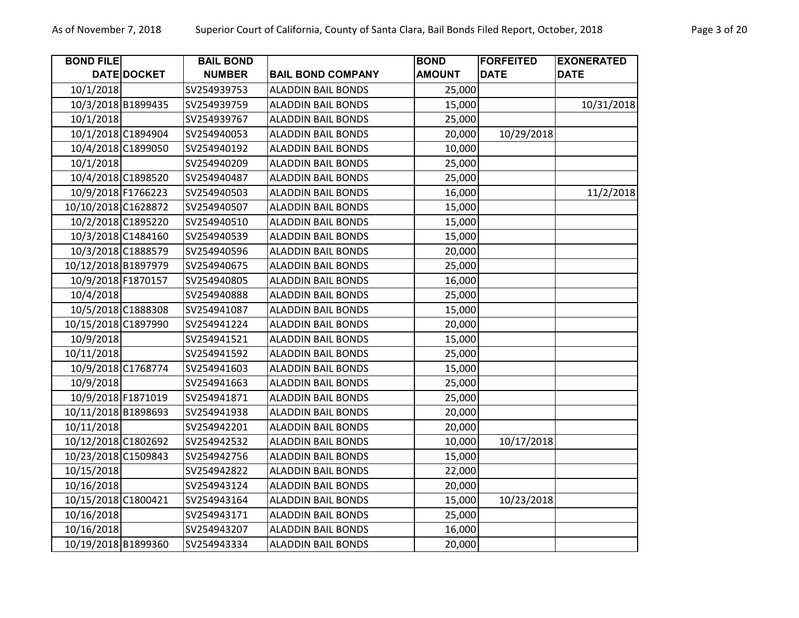| <b>BOND FILE</b>    |                    | <b>BAIL BOND</b> |                           | <b>BOND</b>   | <b>FORFEITED</b> | <b>EXONERATED</b> |
|---------------------|--------------------|------------------|---------------------------|---------------|------------------|-------------------|
|                     | DATE DOCKET        | <b>NUMBER</b>    | <b>BAIL BOND COMPANY</b>  | <b>AMOUNT</b> | <b>DATE</b>      | <b>DATE</b>       |
| 10/1/2018           |                    | SV254939753      | <b>ALADDIN BAIL BONDS</b> | 25,000        |                  |                   |
| 10/3/2018 B1899435  |                    | SV254939759      | <b>ALADDIN BAIL BONDS</b> | 15,000        |                  | 10/31/2018        |
| 10/1/2018           |                    | SV254939767      | <b>ALADDIN BAIL BONDS</b> | 25,000        |                  |                   |
| 10/1/2018 C1894904  |                    | SV254940053      | <b>ALADDIN BAIL BONDS</b> | 20,000        | 10/29/2018       |                   |
|                     | 10/4/2018 C1899050 | SV254940192      | <b>ALADDIN BAIL BONDS</b> | 10,000        |                  |                   |
| 10/1/2018           |                    | SV254940209      | <b>ALADDIN BAIL BONDS</b> | 25,000        |                  |                   |
|                     | 10/4/2018 C1898520 | SV254940487      | <b>ALADDIN BAIL BONDS</b> | 25,000        |                  |                   |
| 10/9/2018 F1766223  |                    | SV254940503      | <b>ALADDIN BAIL BONDS</b> | 16,000        |                  | 11/2/2018         |
| 10/10/2018 C1628872 |                    | SV254940507      | <b>ALADDIN BAIL BONDS</b> | 15,000        |                  |                   |
| 10/2/2018 C1895220  |                    | SV254940510      | <b>ALADDIN BAIL BONDS</b> | 15,000        |                  |                   |
|                     | 10/3/2018 C1484160 | SV254940539      | <b>ALADDIN BAIL BONDS</b> | 15,000        |                  |                   |
| 10/3/2018 C1888579  |                    | SV254940596      | <b>ALADDIN BAIL BONDS</b> | 20,000        |                  |                   |
| 10/12/2018 B1897979 |                    | SV254940675      | <b>ALADDIN BAIL BONDS</b> | 25,000        |                  |                   |
| 10/9/2018 F1870157  |                    | SV254940805      | <b>ALADDIN BAIL BONDS</b> | 16,000        |                  |                   |
| 10/4/2018           |                    | SV254940888      | <b>ALADDIN BAIL BONDS</b> | 25,000        |                  |                   |
|                     | 10/5/2018 C1888308 | SV254941087      | <b>ALADDIN BAIL BONDS</b> | 15,000        |                  |                   |
| 10/15/2018 C1897990 |                    | SV254941224      | <b>ALADDIN BAIL BONDS</b> | 20,000        |                  |                   |
| 10/9/2018           |                    | SV254941521      | <b>ALADDIN BAIL BONDS</b> | 15,000        |                  |                   |
| 10/11/2018          |                    | SV254941592      | <b>ALADDIN BAIL BONDS</b> | 25,000        |                  |                   |
|                     | 10/9/2018 C1768774 | SV254941603      | <b>ALADDIN BAIL BONDS</b> | 15,000        |                  |                   |
| 10/9/2018           |                    | SV254941663      | <b>ALADDIN BAIL BONDS</b> | 25,000        |                  |                   |
| 10/9/2018 F1871019  |                    | SV254941871      | <b>ALADDIN BAIL BONDS</b> | 25,000        |                  |                   |
| 10/11/2018 B1898693 |                    | SV254941938      | <b>ALADDIN BAIL BONDS</b> | 20,000        |                  |                   |
| 10/11/2018          |                    | SV254942201      | <b>ALADDIN BAIL BONDS</b> | 20,000        |                  |                   |
| 10/12/2018 C1802692 |                    | SV254942532      | <b>ALADDIN BAIL BONDS</b> | 10,000        | 10/17/2018       |                   |
| 10/23/2018 C1509843 |                    | SV254942756      | <b>ALADDIN BAIL BONDS</b> | 15,000        |                  |                   |
| 10/15/2018          |                    | SV254942822      | <b>ALADDIN BAIL BONDS</b> | 22,000        |                  |                   |
| 10/16/2018          |                    | SV254943124      | <b>ALADDIN BAIL BONDS</b> | 20,000        |                  |                   |
| 10/15/2018 C1800421 |                    | SV254943164      | <b>ALADDIN BAIL BONDS</b> | 15,000        | 10/23/2018       |                   |
| 10/16/2018          |                    | SV254943171      | <b>ALADDIN BAIL BONDS</b> | 25,000        |                  |                   |
| 10/16/2018          |                    | SV254943207      | <b>ALADDIN BAIL BONDS</b> | 16,000        |                  |                   |
| 10/19/2018 B1899360 |                    | SV254943334      | <b>ALADDIN BAIL BONDS</b> | 20,000        |                  |                   |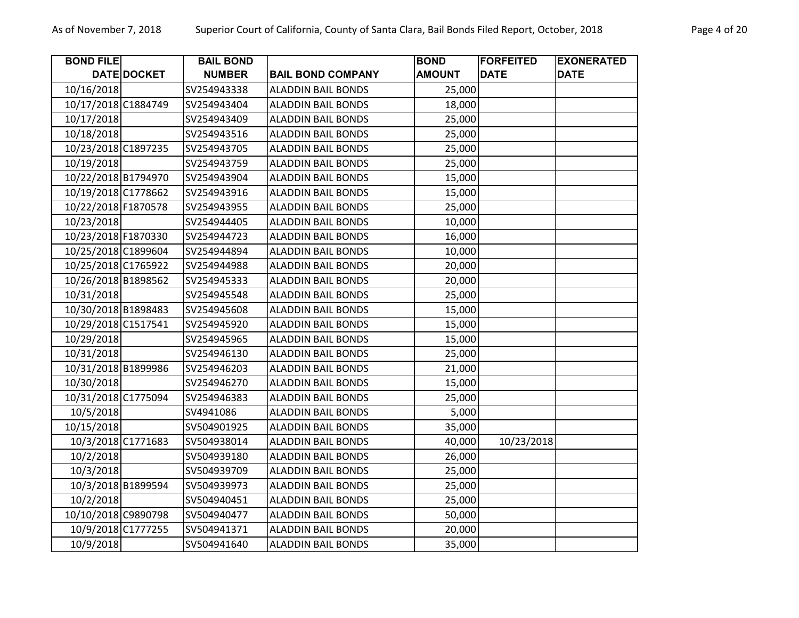| <b>BOND FILE</b>    |             | <b>BAIL BOND</b> |                           | <b>BOND</b>   | <b>FORFEITED</b> | <b>EXONERATED</b> |
|---------------------|-------------|------------------|---------------------------|---------------|------------------|-------------------|
|                     | DATE DOCKET | <b>NUMBER</b>    | <b>BAIL BOND COMPANY</b>  | <b>AMOUNT</b> | <b>DATE</b>      | <b>DATE</b>       |
| 10/16/2018          |             | SV254943338      | <b>ALADDIN BAIL BONDS</b> | 25,000        |                  |                   |
| 10/17/2018 C1884749 |             | SV254943404      | <b>ALADDIN BAIL BONDS</b> | 18,000        |                  |                   |
| 10/17/2018          |             | SV254943409      | <b>ALADDIN BAIL BONDS</b> | 25,000        |                  |                   |
| 10/18/2018          |             | SV254943516      | <b>ALADDIN BAIL BONDS</b> | 25,000        |                  |                   |
| 10/23/2018 C1897235 |             | SV254943705      | <b>ALADDIN BAIL BONDS</b> | 25,000        |                  |                   |
| 10/19/2018          |             | SV254943759      | <b>ALADDIN BAIL BONDS</b> | 25,000        |                  |                   |
| 10/22/2018 B1794970 |             | SV254943904      | <b>ALADDIN BAIL BONDS</b> | 15,000        |                  |                   |
| 10/19/2018 C1778662 |             | SV254943916      | <b>ALADDIN BAIL BONDS</b> | 15,000        |                  |                   |
| 10/22/2018 F1870578 |             | SV254943955      | <b>ALADDIN BAIL BONDS</b> | 25,000        |                  |                   |
| 10/23/2018          |             | SV254944405      | <b>ALADDIN BAIL BONDS</b> | 10,000        |                  |                   |
| 10/23/2018 F1870330 |             | SV254944723      | <b>ALADDIN BAIL BONDS</b> | 16,000        |                  |                   |
| 10/25/2018 C1899604 |             | SV254944894      | <b>ALADDIN BAIL BONDS</b> | 10,000        |                  |                   |
| 10/25/2018 C1765922 |             | SV254944988      | <b>ALADDIN BAIL BONDS</b> | 20,000        |                  |                   |
| 10/26/2018 B1898562 |             | SV254945333      | <b>ALADDIN BAIL BONDS</b> | 20,000        |                  |                   |
| 10/31/2018          |             | SV254945548      | <b>ALADDIN BAIL BONDS</b> | 25,000        |                  |                   |
| 10/30/2018 B1898483 |             | SV254945608      | <b>ALADDIN BAIL BONDS</b> | 15,000        |                  |                   |
| 10/29/2018 C1517541 |             | SV254945920      | <b>ALADDIN BAIL BONDS</b> | 15,000        |                  |                   |
| 10/29/2018          |             | SV254945965      | <b>ALADDIN BAIL BONDS</b> | 15,000        |                  |                   |
| 10/31/2018          |             | SV254946130      | <b>ALADDIN BAIL BONDS</b> | 25,000        |                  |                   |
| 10/31/2018 B1899986 |             | SV254946203      | <b>ALADDIN BAIL BONDS</b> | 21,000        |                  |                   |
| 10/30/2018          |             | SV254946270      | <b>ALADDIN BAIL BONDS</b> | 15,000        |                  |                   |
| 10/31/2018 C1775094 |             | SV254946383      | <b>ALADDIN BAIL BONDS</b> | 25,000        |                  |                   |
| 10/5/2018           |             | SV4941086        | <b>ALADDIN BAIL BONDS</b> | 5,000         |                  |                   |
| 10/15/2018          |             | SV504901925      | <b>ALADDIN BAIL BONDS</b> | 35,000        |                  |                   |
| 10/3/2018 C1771683  |             | SV504938014      | <b>ALADDIN BAIL BONDS</b> | 40,000        | 10/23/2018       |                   |
| 10/2/2018           |             | SV504939180      | <b>ALADDIN BAIL BONDS</b> | 26,000        |                  |                   |
| 10/3/2018           |             | SV504939709      | <b>ALADDIN BAIL BONDS</b> | 25,000        |                  |                   |
| 10/3/2018 B1899594  |             | SV504939973      | <b>ALADDIN BAIL BONDS</b> | 25,000        |                  |                   |
| 10/2/2018           |             | SV504940451      | <b>ALADDIN BAIL BONDS</b> | 25,000        |                  |                   |
| 10/10/2018 C9890798 |             | SV504940477      | <b>ALADDIN BAIL BONDS</b> | 50,000        |                  |                   |
| 10/9/2018 C1777255  |             | SV504941371      | <b>ALADDIN BAIL BONDS</b> | 20,000        |                  |                   |
| 10/9/2018           |             | SV504941640      | <b>ALADDIN BAIL BONDS</b> | 35,000        |                  |                   |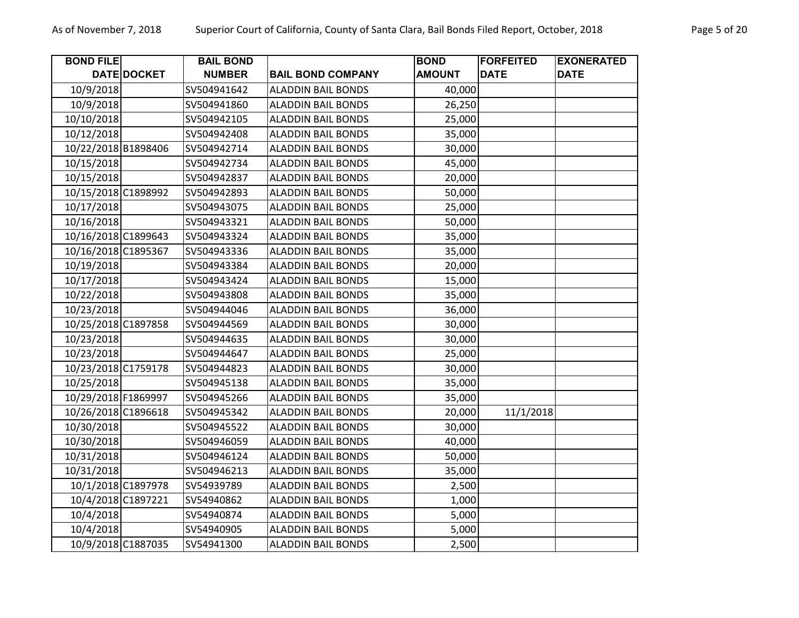| <b>BOND FILE</b>    |             | <b>BAIL BOND</b> |                           | <b>BOND</b>   | <b>FORFEITED</b> | <b>EXONERATED</b> |
|---------------------|-------------|------------------|---------------------------|---------------|------------------|-------------------|
|                     | DATE DOCKET | <b>NUMBER</b>    | <b>BAIL BOND COMPANY</b>  | <b>AMOUNT</b> | <b>DATE</b>      | <b>DATE</b>       |
| 10/9/2018           |             | SV504941642      | <b>ALADDIN BAIL BONDS</b> | 40,000        |                  |                   |
| 10/9/2018           |             | SV504941860      | <b>ALADDIN BAIL BONDS</b> | 26,250        |                  |                   |
| 10/10/2018          |             | SV504942105      | <b>ALADDIN BAIL BONDS</b> | 25,000        |                  |                   |
| 10/12/2018          |             | SV504942408      | <b>ALADDIN BAIL BONDS</b> | 35,000        |                  |                   |
| 10/22/2018 B1898406 |             | SV504942714      | <b>ALADDIN BAIL BONDS</b> | 30,000        |                  |                   |
| 10/15/2018          |             | SV504942734      | <b>ALADDIN BAIL BONDS</b> | 45,000        |                  |                   |
| 10/15/2018          |             | SV504942837      | <b>ALADDIN BAIL BONDS</b> | 20,000        |                  |                   |
| 10/15/2018 C1898992 |             | SV504942893      | <b>ALADDIN BAIL BONDS</b> | 50,000        |                  |                   |
| 10/17/2018          |             | SV504943075      | <b>ALADDIN BAIL BONDS</b> | 25,000        |                  |                   |
| 10/16/2018          |             | SV504943321      | <b>ALADDIN BAIL BONDS</b> | 50,000        |                  |                   |
| 10/16/2018 C1899643 |             | SV504943324      | <b>ALADDIN BAIL BONDS</b> | 35,000        |                  |                   |
| 10/16/2018 C1895367 |             | SV504943336      | <b>ALADDIN BAIL BONDS</b> | 35,000        |                  |                   |
| 10/19/2018          |             | SV504943384      | <b>ALADDIN BAIL BONDS</b> | 20,000        |                  |                   |
| 10/17/2018          |             | SV504943424      | <b>ALADDIN BAIL BONDS</b> | 15,000        |                  |                   |
| 10/22/2018          |             | SV504943808      | <b>ALADDIN BAIL BONDS</b> | 35,000        |                  |                   |
| 10/23/2018          |             | SV504944046      | <b>ALADDIN BAIL BONDS</b> | 36,000        |                  |                   |
| 10/25/2018 C1897858 |             | SV504944569      | <b>ALADDIN BAIL BONDS</b> | 30,000        |                  |                   |
| 10/23/2018          |             | SV504944635      | <b>ALADDIN BAIL BONDS</b> | 30,000        |                  |                   |
| 10/23/2018          |             | SV504944647      | <b>ALADDIN BAIL BONDS</b> | 25,000        |                  |                   |
| 10/23/2018 C1759178 |             | SV504944823      | <b>ALADDIN BAIL BONDS</b> | 30,000        |                  |                   |
| 10/25/2018          |             | SV504945138      | <b>ALADDIN BAIL BONDS</b> | 35,000        |                  |                   |
| 10/29/2018 F1869997 |             | SV504945266      | <b>ALADDIN BAIL BONDS</b> | 35,000        |                  |                   |
| 10/26/2018 C1896618 |             | SV504945342      | <b>ALADDIN BAIL BONDS</b> | 20,000        | 11/1/2018        |                   |
| 10/30/2018          |             | SV504945522      | <b>ALADDIN BAIL BONDS</b> | 30,000        |                  |                   |
| 10/30/2018          |             | SV504946059      | <b>ALADDIN BAIL BONDS</b> | 40,000        |                  |                   |
| 10/31/2018          |             | SV504946124      | <b>ALADDIN BAIL BONDS</b> | 50,000        |                  |                   |
| 10/31/2018          |             | SV504946213      | <b>ALADDIN BAIL BONDS</b> | 35,000        |                  |                   |
| 10/1/2018 C1897978  |             | SV54939789       | <b>ALADDIN BAIL BONDS</b> | 2,500         |                  |                   |
| 10/4/2018 C1897221  |             | SV54940862       | <b>ALADDIN BAIL BONDS</b> | 1,000         |                  |                   |
| 10/4/2018           |             | SV54940874       | <b>ALADDIN BAIL BONDS</b> | 5,000         |                  |                   |
| 10/4/2018           |             | SV54940905       | <b>ALADDIN BAIL BONDS</b> | 5,000         |                  |                   |
| 10/9/2018 C1887035  |             | SV54941300       | <b>ALADDIN BAIL BONDS</b> | 2,500         |                  |                   |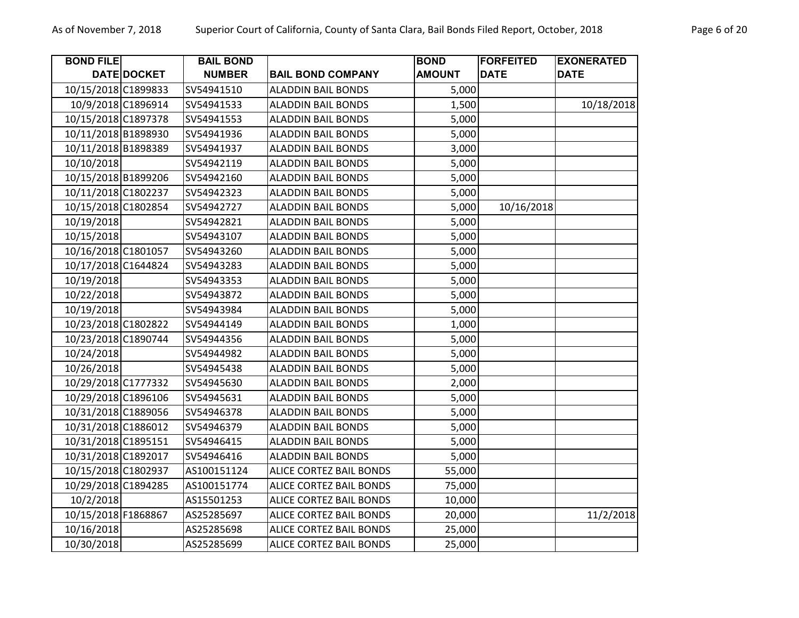| <b>BOND FILE</b>    |             | <b>BAIL BOND</b> |                                | <b>BOND</b>   | <b>FORFEITED</b> | <b>EXONERATED</b> |
|---------------------|-------------|------------------|--------------------------------|---------------|------------------|-------------------|
|                     | DATE DOCKET | <b>NUMBER</b>    | <b>BAIL BOND COMPANY</b>       | <b>AMOUNT</b> | <b>DATE</b>      | <b>DATE</b>       |
| 10/15/2018 C1899833 |             | SV54941510       | <b>ALADDIN BAIL BONDS</b>      | 5,000         |                  |                   |
| 10/9/2018 C1896914  |             | SV54941533       | <b>ALADDIN BAIL BONDS</b>      | 1,500         |                  | 10/18/2018        |
| 10/15/2018 C1897378 |             | SV54941553       | <b>ALADDIN BAIL BONDS</b>      | 5,000         |                  |                   |
| 10/11/2018 B1898930 |             | SV54941936       | <b>ALADDIN BAIL BONDS</b>      | 5,000         |                  |                   |
| 10/11/2018 B1898389 |             | SV54941937       | <b>ALADDIN BAIL BONDS</b>      | 3,000         |                  |                   |
| 10/10/2018          |             | SV54942119       | <b>ALADDIN BAIL BONDS</b>      | 5,000         |                  |                   |
| 10/15/2018 B1899206 |             | SV54942160       | <b>ALADDIN BAIL BONDS</b>      | 5,000         |                  |                   |
| 10/11/2018 C1802237 |             | SV54942323       | <b>ALADDIN BAIL BONDS</b>      | 5,000         |                  |                   |
| 10/15/2018 C1802854 |             | SV54942727       | <b>ALADDIN BAIL BONDS</b>      | 5,000         | 10/16/2018       |                   |
| 10/19/2018          |             | SV54942821       | <b>ALADDIN BAIL BONDS</b>      | 5,000         |                  |                   |
| 10/15/2018          |             | SV54943107       | <b>ALADDIN BAIL BONDS</b>      | 5,000         |                  |                   |
| 10/16/2018 C1801057 |             | SV54943260       | <b>ALADDIN BAIL BONDS</b>      | 5,000         |                  |                   |
| 10/17/2018 C1644824 |             | SV54943283       | <b>ALADDIN BAIL BONDS</b>      | 5,000         |                  |                   |
| 10/19/2018          |             | SV54943353       | <b>ALADDIN BAIL BONDS</b>      | 5,000         |                  |                   |
| 10/22/2018          |             | SV54943872       | <b>ALADDIN BAIL BONDS</b>      | 5,000         |                  |                   |
| 10/19/2018          |             | SV54943984       | <b>ALADDIN BAIL BONDS</b>      | 5,000         |                  |                   |
| 10/23/2018 C1802822 |             | SV54944149       | <b>ALADDIN BAIL BONDS</b>      | 1,000         |                  |                   |
| 10/23/2018 C1890744 |             | SV54944356       | <b>ALADDIN BAIL BONDS</b>      | 5,000         |                  |                   |
| 10/24/2018          |             | SV54944982       | <b>ALADDIN BAIL BONDS</b>      | 5,000         |                  |                   |
| 10/26/2018          |             | SV54945438       | <b>ALADDIN BAIL BONDS</b>      | 5,000         |                  |                   |
| 10/29/2018 C1777332 |             | SV54945630       | <b>ALADDIN BAIL BONDS</b>      | 2,000         |                  |                   |
| 10/29/2018 C1896106 |             | SV54945631       | <b>ALADDIN BAIL BONDS</b>      | 5,000         |                  |                   |
| 10/31/2018 C1889056 |             | SV54946378       | <b>ALADDIN BAIL BONDS</b>      | 5,000         |                  |                   |
| 10/31/2018 C1886012 |             | SV54946379       | <b>ALADDIN BAIL BONDS</b>      | 5,000         |                  |                   |
| 10/31/2018 C1895151 |             | SV54946415       | <b>ALADDIN BAIL BONDS</b>      | 5,000         |                  |                   |
| 10/31/2018 C1892017 |             | SV54946416       | <b>ALADDIN BAIL BONDS</b>      | 5,000         |                  |                   |
| 10/15/2018 C1802937 |             | AS100151124      | <b>ALICE CORTEZ BAIL BONDS</b> | 55,000        |                  |                   |
| 10/29/2018 C1894285 |             | AS100151774      | ALICE CORTEZ BAIL BONDS        | 75,000        |                  |                   |
| 10/2/2018           |             | AS15501253       | <b>ALICE CORTEZ BAIL BONDS</b> | 10,000        |                  |                   |
| 10/15/2018 F1868867 |             | AS25285697       | ALICE CORTEZ BAIL BONDS        | 20,000        |                  | 11/2/2018         |
| 10/16/2018          |             | AS25285698       | ALICE CORTEZ BAIL BONDS        | 25,000        |                  |                   |
| 10/30/2018          |             | AS25285699       | <b>ALICE CORTEZ BAIL BONDS</b> | 25,000        |                  |                   |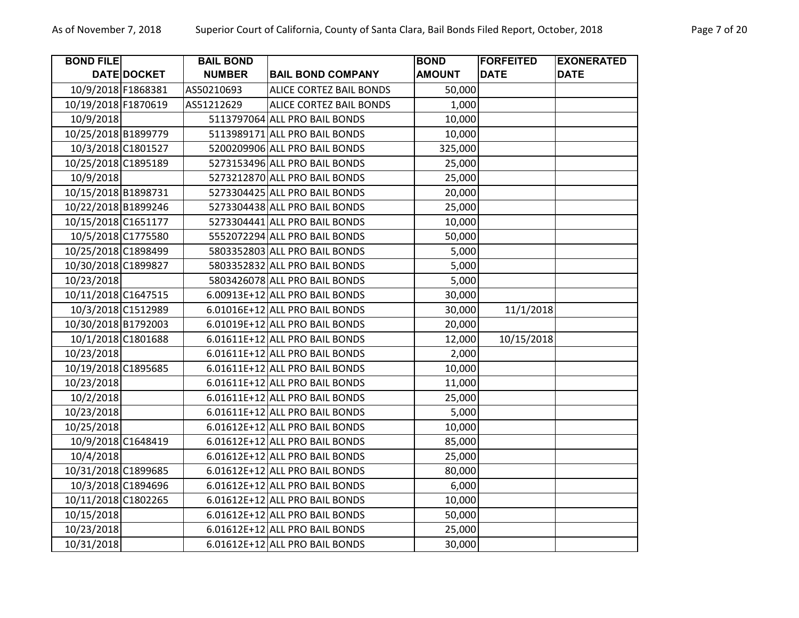| <b>BOND FILE</b>    |             | <b>BAIL BOND</b> |                                | <b>BOND</b>   | <b>FORFEITED</b> | <b>EXONERATED</b> |
|---------------------|-------------|------------------|--------------------------------|---------------|------------------|-------------------|
|                     | DATE DOCKET | <b>NUMBER</b>    | <b>BAIL BOND COMPANY</b>       | <b>AMOUNT</b> | <b>DATE</b>      | <b>DATE</b>       |
| 10/9/2018 F1868381  |             | AS50210693       | <b>ALICE CORTEZ BAIL BONDS</b> | 50,000        |                  |                   |
| 10/19/2018 F1870619 |             | AS51212629       | <b>ALICE CORTEZ BAIL BONDS</b> | 1,000         |                  |                   |
| 10/9/2018           |             |                  | 5113797064 ALL PRO BAIL BONDS  | 10,000        |                  |                   |
| 10/25/2018 B1899779 |             |                  | 5113989171 ALL PRO BAIL BONDS  | 10,000        |                  |                   |
| 10/3/2018 C1801527  |             |                  | 5200209906 ALL PRO BAIL BONDS  | 325,000       |                  |                   |
| 10/25/2018 C1895189 |             |                  | 5273153496 ALL PRO BAIL BONDS  | 25,000        |                  |                   |
| 10/9/2018           |             |                  | 5273212870 ALL PRO BAIL BONDS  | 25,000        |                  |                   |
| 10/15/2018 B1898731 |             |                  | 5273304425 ALL PRO BAIL BONDS  | 20,000        |                  |                   |
| 10/22/2018 B1899246 |             |                  | 5273304438 ALL PRO BAIL BONDS  | 25,000        |                  |                   |
| 10/15/2018 C1651177 |             |                  | 5273304441 ALL PRO BAIL BONDS  | 10,000        |                  |                   |
| 10/5/2018 C1775580  |             |                  | 5552072294 ALL PRO BAIL BONDS  | 50,000        |                  |                   |
| 10/25/2018 C1898499 |             |                  | 5803352803 ALL PRO BAIL BONDS  | 5,000         |                  |                   |
| 10/30/2018 C1899827 |             |                  | 5803352832 ALL PRO BAIL BONDS  | 5,000         |                  |                   |
| 10/23/2018          |             |                  | 5803426078 ALL PRO BAIL BONDS  | 5,000         |                  |                   |
| 10/11/2018 C1647515 |             |                  | 6.00913E+12 ALL PRO BAIL BONDS | 30,000        |                  |                   |
| 10/3/2018 C1512989  |             |                  | 6.01016E+12 ALL PRO BAIL BONDS | 30,000        | 11/1/2018        |                   |
| 10/30/2018 B1792003 |             |                  | 6.01019E+12 ALL PRO BAIL BONDS | 20,000        |                  |                   |
| 10/1/2018 C1801688  |             |                  | 6.01611E+12 ALL PRO BAIL BONDS | 12,000        | 10/15/2018       |                   |
| 10/23/2018          |             |                  | 6.01611E+12 ALL PRO BAIL BONDS | 2,000         |                  |                   |
| 10/19/2018 C1895685 |             |                  | 6.01611E+12 ALL PRO BAIL BONDS | 10,000        |                  |                   |
| 10/23/2018          |             |                  | 6.01611E+12 ALL PRO BAIL BONDS | 11,000        |                  |                   |
| 10/2/2018           |             |                  | 6.01611E+12 ALL PRO BAIL BONDS | 25,000        |                  |                   |
| 10/23/2018          |             |                  | 6.01611E+12 ALL PRO BAIL BONDS | 5,000         |                  |                   |
| 10/25/2018          |             |                  | 6.01612E+12 ALL PRO BAIL BONDS | 10,000        |                  |                   |
| 10/9/2018 C1648419  |             |                  | 6.01612E+12 ALL PRO BAIL BONDS | 85,000        |                  |                   |
| 10/4/2018           |             |                  | 6.01612E+12 ALL PRO BAIL BONDS | 25,000        |                  |                   |
| 10/31/2018 C1899685 |             |                  | 6.01612E+12 ALL PRO BAIL BONDS | 80,000        |                  |                   |
| 10/3/2018 C1894696  |             |                  | 6.01612E+12 ALL PRO BAIL BONDS | 6,000         |                  |                   |
| 10/11/2018 C1802265 |             |                  | 6.01612E+12 ALL PRO BAIL BONDS | 10,000        |                  |                   |
| 10/15/2018          |             |                  | 6.01612E+12 ALL PRO BAIL BONDS | 50,000        |                  |                   |
| 10/23/2018          |             |                  | 6.01612E+12 ALL PRO BAIL BONDS | 25,000        |                  |                   |
| 10/31/2018          |             |                  | 6.01612E+12 ALL PRO BAIL BONDS | 30,000        |                  |                   |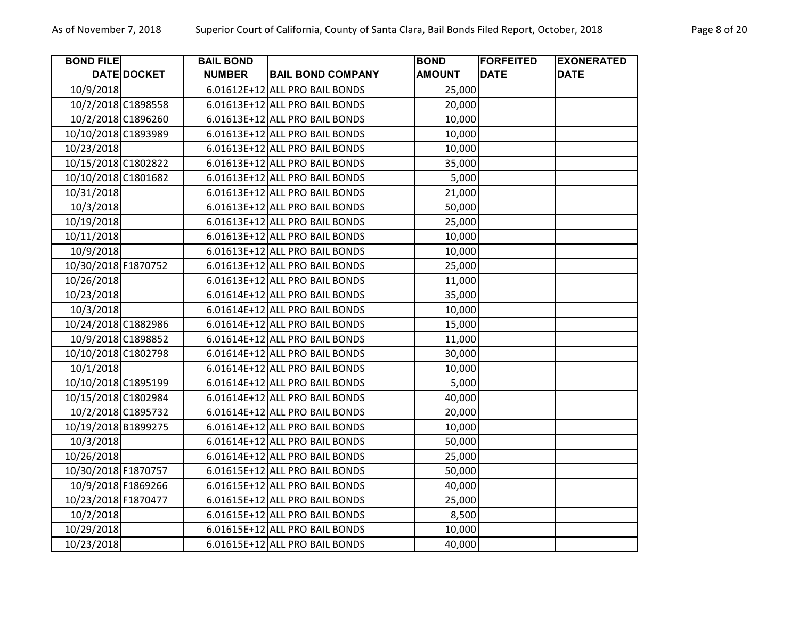| <b>BOND FILE</b>    |             | <b>BAIL BOND</b> |                                | <b>BOND</b>   | <b>FORFEITED</b><br><b>DATE</b> | <b>EXONERATED</b><br><b>DATE</b> |
|---------------------|-------------|------------------|--------------------------------|---------------|---------------------------------|----------------------------------|
|                     | DATE DOCKET | <b>NUMBER</b>    | <b>BAIL BOND COMPANY</b>       | <b>AMOUNT</b> |                                 |                                  |
| 10/9/2018           |             |                  | 6.01612E+12 ALL PRO BAIL BONDS | 25,000        |                                 |                                  |
| 10/2/2018 C1898558  |             |                  | 6.01613E+12 ALL PRO BAIL BONDS | 20,000        |                                 |                                  |
| 10/2/2018 C1896260  |             |                  | 6.01613E+12 ALL PRO BAIL BONDS | 10,000        |                                 |                                  |
| 10/10/2018 C1893989 |             |                  | 6.01613E+12 ALL PRO BAIL BONDS | 10,000        |                                 |                                  |
| 10/23/2018          |             |                  | 6.01613E+12 ALL PRO BAIL BONDS | 10,000        |                                 |                                  |
| 10/15/2018 C1802822 |             |                  | 6.01613E+12 ALL PRO BAIL BONDS | 35,000        |                                 |                                  |
| 10/10/2018 C1801682 |             |                  | 6.01613E+12 ALL PRO BAIL BONDS | 5,000         |                                 |                                  |
| 10/31/2018          |             |                  | 6.01613E+12 ALL PRO BAIL BONDS | 21,000        |                                 |                                  |
| 10/3/2018           |             |                  | 6.01613E+12 ALL PRO BAIL BONDS | 50,000        |                                 |                                  |
| 10/19/2018          |             |                  | 6.01613E+12 ALL PRO BAIL BONDS | 25,000        |                                 |                                  |
| 10/11/2018          |             |                  | 6.01613E+12 ALL PRO BAIL BONDS | 10,000        |                                 |                                  |
| 10/9/2018           |             |                  | 6.01613E+12 ALL PRO BAIL BONDS | 10,000        |                                 |                                  |
| 10/30/2018 F1870752 |             |                  | 6.01613E+12 ALL PRO BAIL BONDS | 25,000        |                                 |                                  |
| 10/26/2018          |             |                  | 6.01613E+12 ALL PRO BAIL BONDS | 11,000        |                                 |                                  |
| 10/23/2018          |             |                  | 6.01614E+12 ALL PRO BAIL BONDS | 35,000        |                                 |                                  |
| 10/3/2018           |             |                  | 6.01614E+12 ALL PRO BAIL BONDS | 10,000        |                                 |                                  |
| 10/24/2018 C1882986 |             |                  | 6.01614E+12 ALL PRO BAIL BONDS | 15,000        |                                 |                                  |
| 10/9/2018 C1898852  |             |                  | 6.01614E+12 ALL PRO BAIL BONDS | 11,000        |                                 |                                  |
| 10/10/2018 C1802798 |             |                  | 6.01614E+12 ALL PRO BAIL BONDS | 30,000        |                                 |                                  |
| 10/1/2018           |             |                  | 6.01614E+12 ALL PRO BAIL BONDS | 10,000        |                                 |                                  |
| 10/10/2018 C1895199 |             |                  | 6.01614E+12 ALL PRO BAIL BONDS | 5,000         |                                 |                                  |
| 10/15/2018 C1802984 |             |                  | 6.01614E+12 ALL PRO BAIL BONDS | 40,000        |                                 |                                  |
| 10/2/2018 C1895732  |             |                  | 6.01614E+12 ALL PRO BAIL BONDS | 20,000        |                                 |                                  |
| 10/19/2018 B1899275 |             |                  | 6.01614E+12 ALL PRO BAIL BONDS | 10,000        |                                 |                                  |
| 10/3/2018           |             |                  | 6.01614E+12 ALL PRO BAIL BONDS | 50,000        |                                 |                                  |
| 10/26/2018          |             |                  | 6.01614E+12 ALL PRO BAIL BONDS | 25,000        |                                 |                                  |
| 10/30/2018 F1870757 |             |                  | 6.01615E+12 ALL PRO BAIL BONDS | 50,000        |                                 |                                  |
| 10/9/2018 F1869266  |             |                  | 6.01615E+12 ALL PRO BAIL BONDS | 40,000        |                                 |                                  |
| 10/23/2018 F1870477 |             |                  | 6.01615E+12 ALL PRO BAIL BONDS | 25,000        |                                 |                                  |
| 10/2/2018           |             |                  | 6.01615E+12 ALL PRO BAIL BONDS | 8,500         |                                 |                                  |
| 10/29/2018          |             |                  | 6.01615E+12 ALL PRO BAIL BONDS | 10,000        |                                 |                                  |
| 10/23/2018          |             |                  | 6.01615E+12 ALL PRO BAIL BONDS | 40,000        |                                 |                                  |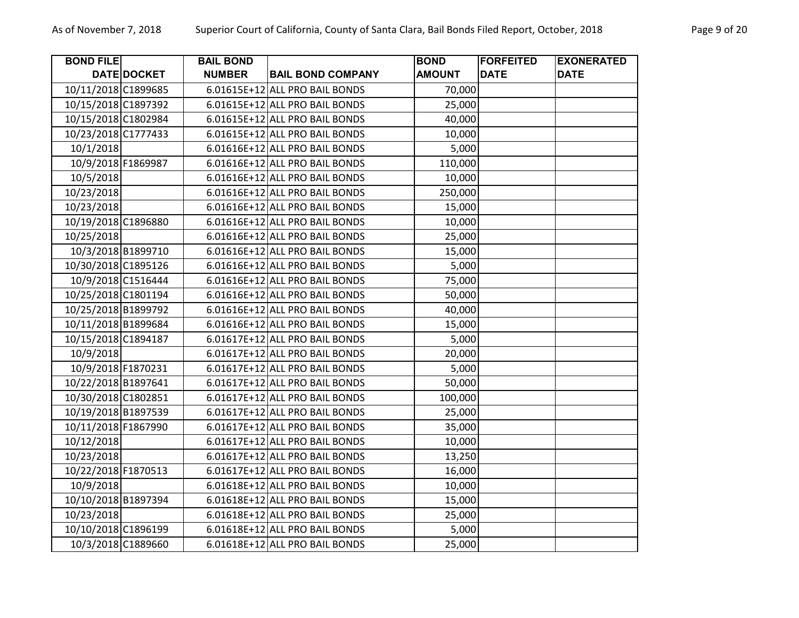| <b>BOND FILE</b>    |             | <b>BAIL BOND</b> |                                | <b>BOND</b>   | <b>FORFEITED</b> | <b>EXONERATED</b> |
|---------------------|-------------|------------------|--------------------------------|---------------|------------------|-------------------|
|                     | DATE DOCKET | <b>NUMBER</b>    | <b>BAIL BOND COMPANY</b>       | <b>AMOUNT</b> | <b>DATE</b>      | <b>DATE</b>       |
| 10/11/2018 C1899685 |             |                  | 6.01615E+12 ALL PRO BAIL BONDS | 70,000        |                  |                   |
| 10/15/2018 C1897392 |             |                  | 6.01615E+12 ALL PRO BAIL BONDS | 25,000        |                  |                   |
| 10/15/2018 C1802984 |             |                  | 6.01615E+12 ALL PRO BAIL BONDS | 40,000        |                  |                   |
| 10/23/2018 C1777433 |             |                  | 6.01615E+12 ALL PRO BAIL BONDS | 10,000        |                  |                   |
| 10/1/2018           |             |                  | 6.01616E+12 ALL PRO BAIL BONDS | 5,000         |                  |                   |
| 10/9/2018 F1869987  |             |                  | 6.01616E+12 ALL PRO BAIL BONDS | 110,000       |                  |                   |
| 10/5/2018           |             |                  | 6.01616E+12 ALL PRO BAIL BONDS | 10,000        |                  |                   |
| 10/23/2018          |             |                  | 6.01616E+12 ALL PRO BAIL BONDS | 250,000       |                  |                   |
| 10/23/2018          |             |                  | 6.01616E+12 ALL PRO BAIL BONDS | 15,000        |                  |                   |
| 10/19/2018 C1896880 |             |                  | 6.01616E+12 ALL PRO BAIL BONDS | 10,000        |                  |                   |
| 10/25/2018          |             |                  | 6.01616E+12 ALL PRO BAIL BONDS | 25,000        |                  |                   |
| 10/3/2018 B1899710  |             |                  | 6.01616E+12 ALL PRO BAIL BONDS | 15,000        |                  |                   |
| 10/30/2018 C1895126 |             |                  | 6.01616E+12 ALL PRO BAIL BONDS | 5,000         |                  |                   |
| 10/9/2018 C1516444  |             |                  | 6.01616E+12 ALL PRO BAIL BONDS | 75,000        |                  |                   |
| 10/25/2018 C1801194 |             |                  | 6.01616E+12 ALL PRO BAIL BONDS | 50,000        |                  |                   |
| 10/25/2018 B1899792 |             |                  | 6.01616E+12 ALL PRO BAIL BONDS | 40,000        |                  |                   |
| 10/11/2018 B1899684 |             |                  | 6.01616E+12 ALL PRO BAIL BONDS | 15,000        |                  |                   |
| 10/15/2018 C1894187 |             |                  | 6.01617E+12 ALL PRO BAIL BONDS | 5,000         |                  |                   |
| 10/9/2018           |             |                  | 6.01617E+12 ALL PRO BAIL BONDS | 20,000        |                  |                   |
| 10/9/2018 F1870231  |             |                  | 6.01617E+12 ALL PRO BAIL BONDS | 5,000         |                  |                   |
| 10/22/2018 B1897641 |             |                  | 6.01617E+12 ALL PRO BAIL BONDS | 50,000        |                  |                   |
| 10/30/2018 C1802851 |             |                  | 6.01617E+12 ALL PRO BAIL BONDS | 100,000       |                  |                   |
| 10/19/2018 B1897539 |             |                  | 6.01617E+12 ALL PRO BAIL BONDS | 25,000        |                  |                   |
| 10/11/2018 F1867990 |             |                  | 6.01617E+12 ALL PRO BAIL BONDS | 35,000        |                  |                   |
| 10/12/2018          |             |                  | 6.01617E+12 ALL PRO BAIL BONDS | 10,000        |                  |                   |
| 10/23/2018          |             |                  | 6.01617E+12 ALL PRO BAIL BONDS | 13,250        |                  |                   |
| 10/22/2018 F1870513 |             |                  | 6.01617E+12 ALL PRO BAIL BONDS | 16,000        |                  |                   |
| 10/9/2018           |             |                  | 6.01618E+12 ALL PRO BAIL BONDS | 10,000        |                  |                   |
| 10/10/2018 B1897394 |             |                  | 6.01618E+12 ALL PRO BAIL BONDS | 15,000        |                  |                   |
| 10/23/2018          |             |                  | 6.01618E+12 ALL PRO BAIL BONDS | 25,000        |                  |                   |
| 10/10/2018 C1896199 |             |                  | 6.01618E+12 ALL PRO BAIL BONDS | 5,000         |                  |                   |
| 10/3/2018 C1889660  |             |                  | 6.01618E+12 ALL PRO BAIL BONDS | 25,000        |                  |                   |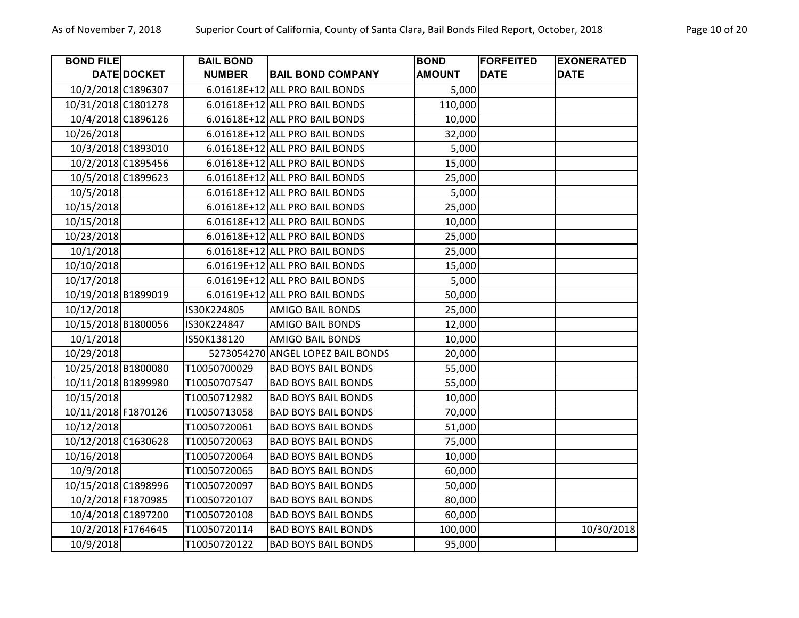| <b>BOND FILE</b>    |                    | <b>BAIL BOND</b> |                                   | <b>BOND</b>   | <b>FORFEITED</b> | <b>EXONERATED</b> |
|---------------------|--------------------|------------------|-----------------------------------|---------------|------------------|-------------------|
|                     | DATE DOCKET        | <b>NUMBER</b>    | <b>BAIL BOND COMPANY</b>          | <b>AMOUNT</b> | <b>DATE</b>      | <b>DATE</b>       |
|                     | 10/2/2018 C1896307 |                  | 6.01618E+12 ALL PRO BAIL BONDS    | 5,000         |                  |                   |
| 10/31/2018 C1801278 |                    |                  | 6.01618E+12 ALL PRO BAIL BONDS    | 110,000       |                  |                   |
|                     | 10/4/2018 C1896126 |                  | 6.01618E+12 ALL PRO BAIL BONDS    | 10,000        |                  |                   |
| 10/26/2018          |                    |                  | 6.01618E+12 ALL PRO BAIL BONDS    | 32,000        |                  |                   |
|                     | 10/3/2018 C1893010 |                  | 6.01618E+12 ALL PRO BAIL BONDS    | 5,000         |                  |                   |
|                     | 10/2/2018 C1895456 |                  | 6.01618E+12 ALL PRO BAIL BONDS    | 15,000        |                  |                   |
|                     | 10/5/2018 C1899623 |                  | 6.01618E+12 ALL PRO BAIL BONDS    | 25,000        |                  |                   |
| 10/5/2018           |                    |                  | 6.01618E+12 ALL PRO BAIL BONDS    | 5,000         |                  |                   |
| 10/15/2018          |                    |                  | 6.01618E+12 ALL PRO BAIL BONDS    | 25,000        |                  |                   |
| 10/15/2018          |                    |                  | 6.01618E+12 ALL PRO BAIL BONDS    | 10,000        |                  |                   |
| 10/23/2018          |                    |                  | 6.01618E+12 ALL PRO BAIL BONDS    | 25,000        |                  |                   |
| 10/1/2018           |                    |                  | 6.01618E+12 ALL PRO BAIL BONDS    | 25,000        |                  |                   |
| 10/10/2018          |                    |                  | 6.01619E+12 ALL PRO BAIL BONDS    | 15,000        |                  |                   |
| 10/17/2018          |                    |                  | 6.01619E+12 ALL PRO BAIL BONDS    | 5,000         |                  |                   |
| 10/19/2018 B1899019 |                    |                  | 6.01619E+12 ALL PRO BAIL BONDS    | 50,000        |                  |                   |
| 10/12/2018          |                    | IS30K224805      | <b>AMIGO BAIL BONDS</b>           | 25,000        |                  |                   |
| 10/15/2018 B1800056 |                    | IS30K224847      | <b>AMIGO BAIL BONDS</b>           | 12,000        |                  |                   |
| 10/1/2018           |                    | IS50K138120      | <b>AMIGO BAIL BONDS</b>           | 10,000        |                  |                   |
| 10/29/2018          |                    |                  | 5273054270 ANGEL LOPEZ BAIL BONDS | 20,000        |                  |                   |
| 10/25/2018 B1800080 |                    | T10050700029     | <b>BAD BOYS BAIL BONDS</b>        | 55,000        |                  |                   |
| 10/11/2018 B1899980 |                    | T10050707547     | <b>BAD BOYS BAIL BONDS</b>        | 55,000        |                  |                   |
| 10/15/2018          |                    | T10050712982     | <b>BAD BOYS BAIL BONDS</b>        | 10,000        |                  |                   |
| 10/11/2018 F1870126 |                    | T10050713058     | <b>BAD BOYS BAIL BONDS</b>        | 70,000        |                  |                   |
| 10/12/2018          |                    | T10050720061     | <b>BAD BOYS BAIL BONDS</b>        | 51,000        |                  |                   |
| 10/12/2018 C1630628 |                    | T10050720063     | <b>BAD BOYS BAIL BONDS</b>        | 75,000        |                  |                   |
| 10/16/2018          |                    | T10050720064     | <b>BAD BOYS BAIL BONDS</b>        | 10,000        |                  |                   |
| 10/9/2018           |                    | T10050720065     | <b>BAD BOYS BAIL BONDS</b>        | 60,000        |                  |                   |
| 10/15/2018 C1898996 |                    | T10050720097     | <b>BAD BOYS BAIL BONDS</b>        | 50,000        |                  |                   |
|                     | 10/2/2018 F1870985 | T10050720107     | <b>BAD BOYS BAIL BONDS</b>        | 80,000        |                  |                   |
|                     | 10/4/2018 C1897200 | T10050720108     | <b>BAD BOYS BAIL BONDS</b>        | 60,000        |                  |                   |
| 10/2/2018 F1764645  |                    | T10050720114     | <b>BAD BOYS BAIL BONDS</b>        | 100,000       |                  | 10/30/2018        |
| 10/9/2018           |                    | T10050720122     | <b>BAD BOYS BAIL BONDS</b>        | 95,000        |                  |                   |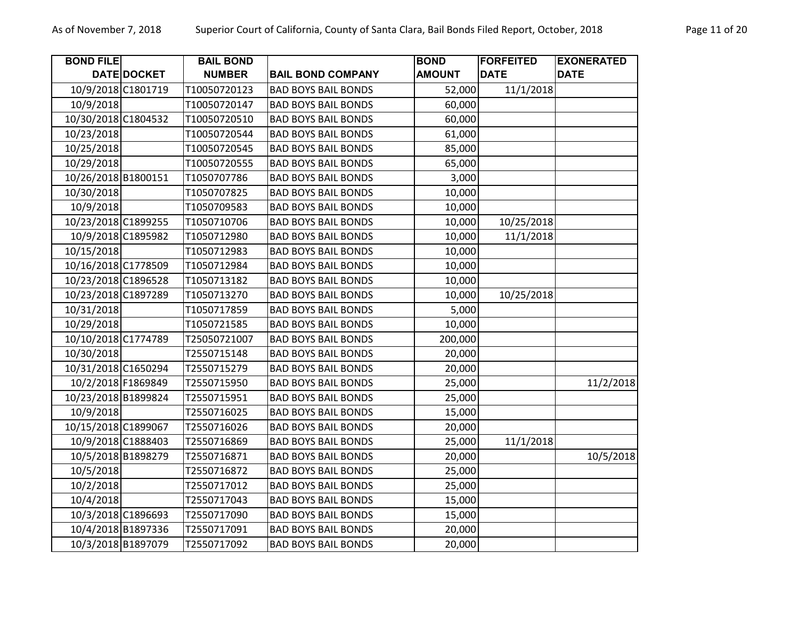| <b>BOND FILE</b>    |                    | <b>BAIL BOND</b> |                            | <b>BOND</b>   | <b>FORFEITED</b> | <b>EXONERATED</b> |
|---------------------|--------------------|------------------|----------------------------|---------------|------------------|-------------------|
|                     | DATE DOCKET        | <b>NUMBER</b>    | <b>BAIL BOND COMPANY</b>   | <b>AMOUNT</b> | <b>DATE</b>      | <b>DATE</b>       |
| 10/9/2018 C1801719  |                    | T10050720123     | <b>BAD BOYS BAIL BONDS</b> | 52,000        | 11/1/2018        |                   |
| 10/9/2018           |                    | T10050720147     | <b>BAD BOYS BAIL BONDS</b> | 60,000        |                  |                   |
| 10/30/2018 C1804532 |                    | T10050720510     | <b>BAD BOYS BAIL BONDS</b> | 60,000        |                  |                   |
| 10/23/2018          |                    | T10050720544     | <b>BAD BOYS BAIL BONDS</b> | 61,000        |                  |                   |
| 10/25/2018          |                    | T10050720545     | <b>BAD BOYS BAIL BONDS</b> | 85,000        |                  |                   |
| 10/29/2018          |                    | T10050720555     | <b>BAD BOYS BAIL BONDS</b> | 65,000        |                  |                   |
| 10/26/2018 B1800151 |                    | T1050707786      | <b>BAD BOYS BAIL BONDS</b> | 3,000         |                  |                   |
| 10/30/2018          |                    | T1050707825      | <b>BAD BOYS BAIL BONDS</b> | 10,000        |                  |                   |
| 10/9/2018           |                    | T1050709583      | <b>BAD BOYS BAIL BONDS</b> | 10,000        |                  |                   |
| 10/23/2018 C1899255 |                    | T1050710706      | <b>BAD BOYS BAIL BONDS</b> | 10,000        | 10/25/2018       |                   |
| 10/9/2018 C1895982  |                    | T1050712980      | <b>BAD BOYS BAIL BONDS</b> | 10,000        | 11/1/2018        |                   |
| 10/15/2018          |                    | T1050712983      | <b>BAD BOYS BAIL BONDS</b> | 10,000        |                  |                   |
| 10/16/2018 C1778509 |                    | T1050712984      | <b>BAD BOYS BAIL BONDS</b> | 10,000        |                  |                   |
| 10/23/2018 C1896528 |                    | T1050713182      | <b>BAD BOYS BAIL BONDS</b> | 10,000        |                  |                   |
| 10/23/2018 C1897289 |                    | T1050713270      | <b>BAD BOYS BAIL BONDS</b> | 10,000        | 10/25/2018       |                   |
| 10/31/2018          |                    | T1050717859      | <b>BAD BOYS BAIL BONDS</b> | 5,000         |                  |                   |
| 10/29/2018          |                    | T1050721585      | <b>BAD BOYS BAIL BONDS</b> | 10,000        |                  |                   |
| 10/10/2018 C1774789 |                    | T25050721007     | <b>BAD BOYS BAIL BONDS</b> | 200,000       |                  |                   |
| 10/30/2018          |                    | T2550715148      | <b>BAD BOYS BAIL BONDS</b> | 20,000        |                  |                   |
| 10/31/2018 C1650294 |                    | T2550715279      | <b>BAD BOYS BAIL BONDS</b> | 20,000        |                  |                   |
| 10/2/2018 F1869849  |                    | T2550715950      | <b>BAD BOYS BAIL BONDS</b> | 25,000        |                  | 11/2/2018         |
| 10/23/2018 B1899824 |                    | T2550715951      | <b>BAD BOYS BAIL BONDS</b> | 25,000        |                  |                   |
| 10/9/2018           |                    | T2550716025      | <b>BAD BOYS BAIL BONDS</b> | 15,000        |                  |                   |
| 10/15/2018 C1899067 |                    | T2550716026      | <b>BAD BOYS BAIL BONDS</b> | 20,000        |                  |                   |
|                     | 10/9/2018 C1888403 | T2550716869      | <b>BAD BOYS BAIL BONDS</b> | 25,000        | 11/1/2018        |                   |
| 10/5/2018 B1898279  |                    | T2550716871      | <b>BAD BOYS BAIL BONDS</b> | 20,000        |                  | 10/5/2018         |
| 10/5/2018           |                    | T2550716872      | <b>BAD BOYS BAIL BONDS</b> | 25,000        |                  |                   |
| 10/2/2018           |                    | T2550717012      | <b>BAD BOYS BAIL BONDS</b> | 25,000        |                  |                   |
| 10/4/2018           |                    | T2550717043      | <b>BAD BOYS BAIL BONDS</b> | 15,000        |                  |                   |
|                     | 10/3/2018 C1896693 | T2550717090      | <b>BAD BOYS BAIL BONDS</b> | 15,000        |                  |                   |
|                     | 10/4/2018 B1897336 | T2550717091      | <b>BAD BOYS BAIL BONDS</b> | 20,000        |                  |                   |
|                     | 10/3/2018 B1897079 | T2550717092      | <b>BAD BOYS BAIL BONDS</b> | 20,000        |                  |                   |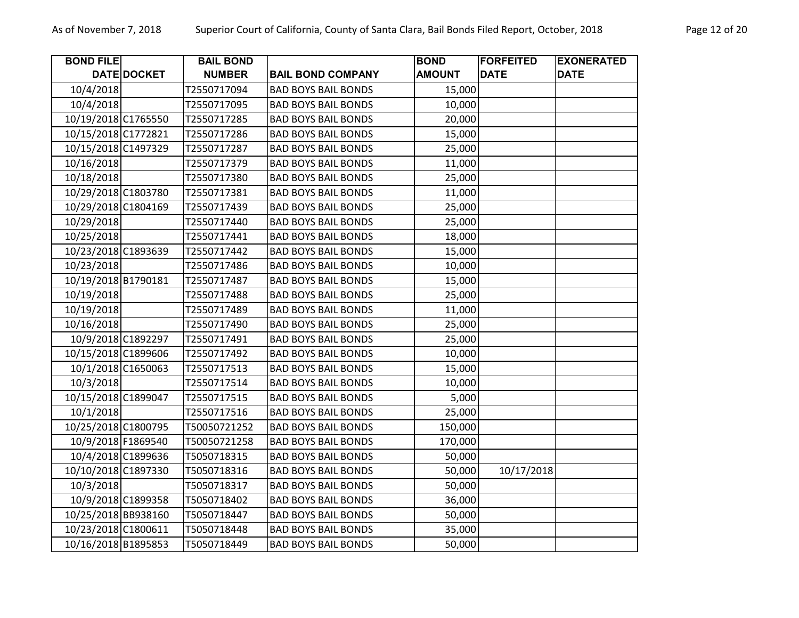| <b>BOND FILE</b>    |                    | <b>BAIL BOND</b> |                            | <b>BOND</b>   | <b>FORFEITED</b> | <b>EXONERATED</b> |
|---------------------|--------------------|------------------|----------------------------|---------------|------------------|-------------------|
|                     | DATE DOCKET        | <b>NUMBER</b>    | <b>BAIL BOND COMPANY</b>   | <b>AMOUNT</b> | <b>DATE</b>      | <b>DATE</b>       |
| 10/4/2018           |                    | T2550717094      | <b>BAD BOYS BAIL BONDS</b> | 15,000        |                  |                   |
| 10/4/2018           |                    | T2550717095      | <b>BAD BOYS BAIL BONDS</b> | 10,000        |                  |                   |
| 10/19/2018 C1765550 |                    | T2550717285      | <b>BAD BOYS BAIL BONDS</b> | 20,000        |                  |                   |
| 10/15/2018 C1772821 |                    | T2550717286      | <b>BAD BOYS BAIL BONDS</b> | 15,000        |                  |                   |
| 10/15/2018 C1497329 |                    | T2550717287      | <b>BAD BOYS BAIL BONDS</b> | 25,000        |                  |                   |
| 10/16/2018          |                    | T2550717379      | <b>BAD BOYS BAIL BONDS</b> | 11,000        |                  |                   |
| 10/18/2018          |                    | T2550717380      | <b>BAD BOYS BAIL BONDS</b> | 25,000        |                  |                   |
| 10/29/2018 C1803780 |                    | T2550717381      | <b>BAD BOYS BAIL BONDS</b> | 11,000        |                  |                   |
| 10/29/2018 C1804169 |                    | T2550717439      | <b>BAD BOYS BAIL BONDS</b> | 25,000        |                  |                   |
| 10/29/2018          |                    | T2550717440      | <b>BAD BOYS BAIL BONDS</b> | 25,000        |                  |                   |
| 10/25/2018          |                    | T2550717441      | <b>BAD BOYS BAIL BONDS</b> | 18,000        |                  |                   |
| 10/23/2018 C1893639 |                    | T2550717442      | <b>BAD BOYS BAIL BONDS</b> | 15,000        |                  |                   |
| 10/23/2018          |                    | T2550717486      | <b>BAD BOYS BAIL BONDS</b> | 10,000        |                  |                   |
| 10/19/2018 B1790181 |                    | T2550717487      | <b>BAD BOYS BAIL BONDS</b> | 15,000        |                  |                   |
| 10/19/2018          |                    | T2550717488      | <b>BAD BOYS BAIL BONDS</b> | 25,000        |                  |                   |
| 10/19/2018          |                    | T2550717489      | <b>BAD BOYS BAIL BONDS</b> | 11,000        |                  |                   |
| 10/16/2018          |                    | T2550717490      | <b>BAD BOYS BAIL BONDS</b> | 25,000        |                  |                   |
| 10/9/2018 C1892297  |                    | T2550717491      | <b>BAD BOYS BAIL BONDS</b> | 25,000        |                  |                   |
| 10/15/2018 C1899606 |                    | T2550717492      | <b>BAD BOYS BAIL BONDS</b> | 10,000        |                  |                   |
|                     | 10/1/2018 C1650063 | T2550717513      | <b>BAD BOYS BAIL BONDS</b> | 15,000        |                  |                   |
| 10/3/2018           |                    | T2550717514      | <b>BAD BOYS BAIL BONDS</b> | 10,000        |                  |                   |
| 10/15/2018 C1899047 |                    | T2550717515      | <b>BAD BOYS BAIL BONDS</b> | 5,000         |                  |                   |
| 10/1/2018           |                    | T2550717516      | <b>BAD BOYS BAIL BONDS</b> | 25,000        |                  |                   |
| 10/25/2018 C1800795 |                    | T50050721252     | <b>BAD BOYS BAIL BONDS</b> | 150,000       |                  |                   |
|                     | 10/9/2018 F1869540 | T50050721258     | <b>BAD BOYS BAIL BONDS</b> | 170,000       |                  |                   |
|                     | 10/4/2018 C1899636 | T5050718315      | <b>BAD BOYS BAIL BONDS</b> | 50,000        |                  |                   |
| 10/10/2018 C1897330 |                    | T5050718316      | <b>BAD BOYS BAIL BONDS</b> | 50,000        | 10/17/2018       |                   |
| 10/3/2018           |                    | T5050718317      | <b>BAD BOYS BAIL BONDS</b> | 50,000        |                  |                   |
|                     | 10/9/2018 C1899358 | T5050718402      | <b>BAD BOYS BAIL BONDS</b> | 36,000        |                  |                   |
| 10/25/2018 BB938160 |                    | T5050718447      | <b>BAD BOYS BAIL BONDS</b> | 50,000        |                  |                   |
| 10/23/2018 C1800611 |                    | T5050718448      | <b>BAD BOYS BAIL BONDS</b> | 35,000        |                  |                   |
| 10/16/2018 B1895853 |                    | T5050718449      | <b>BAD BOYS BAIL BONDS</b> | 50,000        |                  |                   |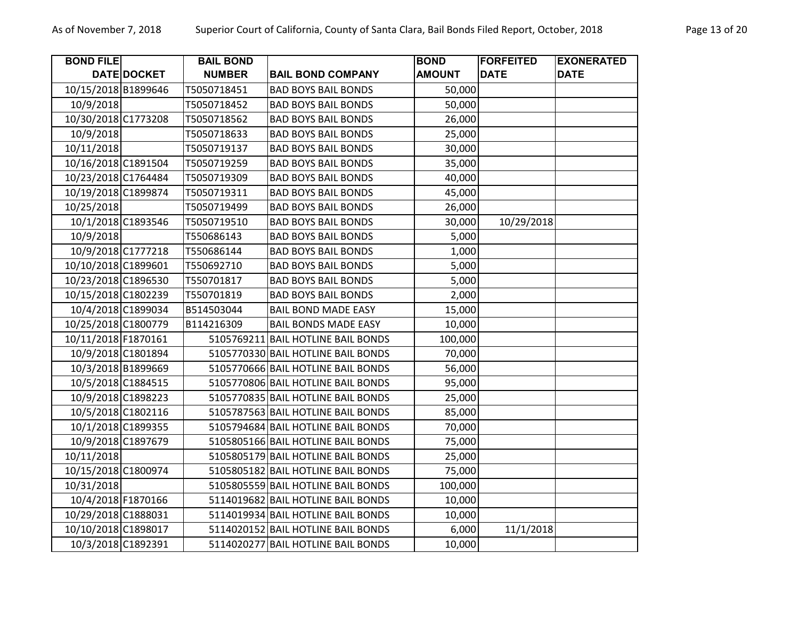| <b>BOND FILE</b>    |             | <b>BAIL BOND</b> |                                    | <b>BOND</b>   | <b>FORFEITED</b> | <b>EXONERATED</b> |
|---------------------|-------------|------------------|------------------------------------|---------------|------------------|-------------------|
|                     | DATE DOCKET | <b>NUMBER</b>    | <b>BAIL BOND COMPANY</b>           | <b>AMOUNT</b> | <b>DATE</b>      | <b>DATE</b>       |
| 10/15/2018 B1899646 |             | T5050718451      | <b>BAD BOYS BAIL BONDS</b>         | 50,000        |                  |                   |
| 10/9/2018           |             | T5050718452      | <b>BAD BOYS BAIL BONDS</b>         | 50,000        |                  |                   |
| 10/30/2018 C1773208 |             | T5050718562      | <b>BAD BOYS BAIL BONDS</b>         | 26,000        |                  |                   |
| 10/9/2018           |             | T5050718633      | <b>BAD BOYS BAIL BONDS</b>         | 25,000        |                  |                   |
| 10/11/2018          |             | T5050719137      | <b>BAD BOYS BAIL BONDS</b>         | 30,000        |                  |                   |
| 10/16/2018 C1891504 |             | T5050719259      | <b>BAD BOYS BAIL BONDS</b>         | 35,000        |                  |                   |
| 10/23/2018 C1764484 |             | T5050719309      | <b>BAD BOYS BAIL BONDS</b>         | 40,000        |                  |                   |
| 10/19/2018 C1899874 |             | T5050719311      | <b>BAD BOYS BAIL BONDS</b>         | 45,000        |                  |                   |
| 10/25/2018          |             | T5050719499      | <b>BAD BOYS BAIL BONDS</b>         | 26,000        |                  |                   |
| 10/1/2018 C1893546  |             | T5050719510      | <b>BAD BOYS BAIL BONDS</b>         | 30,000        | 10/29/2018       |                   |
| 10/9/2018           |             | T550686143       | <b>BAD BOYS BAIL BONDS</b>         | 5,000         |                  |                   |
| 10/9/2018 C1777218  |             | T550686144       | <b>BAD BOYS BAIL BONDS</b>         | 1,000         |                  |                   |
| 10/10/2018 C1899601 |             | T550692710       | <b>BAD BOYS BAIL BONDS</b>         | 5,000         |                  |                   |
| 10/23/2018 C1896530 |             | T550701817       | <b>BAD BOYS BAIL BONDS</b>         | 5,000         |                  |                   |
| 10/15/2018 C1802239 |             | T550701819       | <b>BAD BOYS BAIL BONDS</b>         | 2,000         |                  |                   |
| 10/4/2018 C1899034  |             | B514503044       | <b>BAIL BOND MADE EASY</b>         | 15,000        |                  |                   |
| 10/25/2018 C1800779 |             | B114216309       | <b>BAIL BONDS MADE EASY</b>        | 10,000        |                  |                   |
| 10/11/2018 F1870161 |             |                  | 5105769211 BAIL HOTLINE BAIL BONDS | 100,000       |                  |                   |
| 10/9/2018 C1801894  |             |                  | 5105770330 BAIL HOTLINE BAIL BONDS | 70,000        |                  |                   |
| 10/3/2018 B1899669  |             |                  | 5105770666 BAIL HOTLINE BAIL BONDS | 56,000        |                  |                   |
| 10/5/2018 C1884515  |             |                  | 5105770806 BAIL HOTLINE BAIL BONDS | 95,000        |                  |                   |
| 10/9/2018 C1898223  |             |                  | 5105770835 BAIL HOTLINE BAIL BONDS | 25,000        |                  |                   |
| 10/5/2018 C1802116  |             |                  | 5105787563 BAIL HOTLINE BAIL BONDS | 85,000        |                  |                   |
| 10/1/2018 C1899355  |             |                  | 5105794684 BAIL HOTLINE BAIL BONDS | 70,000        |                  |                   |
| 10/9/2018 C1897679  |             |                  | 5105805166 BAIL HOTLINE BAIL BONDS | 75,000        |                  |                   |
| 10/11/2018          |             |                  | 5105805179 BAIL HOTLINE BAIL BONDS | 25,000        |                  |                   |
| 10/15/2018 C1800974 |             |                  | 5105805182 BAIL HOTLINE BAIL BONDS | 75,000        |                  |                   |
| 10/31/2018          |             |                  | 5105805559 BAIL HOTLINE BAIL BONDS | 100,000       |                  |                   |
| 10/4/2018 F1870166  |             |                  | 5114019682 BAIL HOTLINE BAIL BONDS | 10,000        |                  |                   |
| 10/29/2018 C1888031 |             |                  | 5114019934 BAIL HOTLINE BAIL BONDS | 10,000        |                  |                   |
| 10/10/2018 C1898017 |             |                  | 5114020152 BAIL HOTLINE BAIL BONDS | 6,000         | 11/1/2018        |                   |
| 10/3/2018 C1892391  |             |                  | 5114020277 BAIL HOTLINE BAIL BONDS | 10,000        |                  |                   |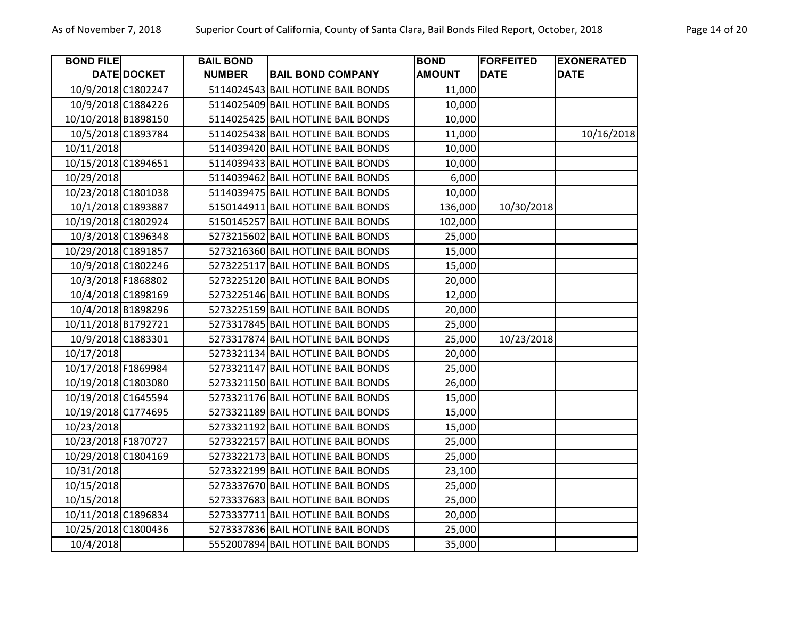| <b>BOND FILE</b>    |                    | <b>BAIL BOND</b> |                                    | <b>BOND</b>   | <b>FORFEITED</b> | <b>EXONERATED</b> |
|---------------------|--------------------|------------------|------------------------------------|---------------|------------------|-------------------|
|                     | DATE DOCKET        | <b>NUMBER</b>    | <b>BAIL BOND COMPANY</b>           | <b>AMOUNT</b> | <b>DATE</b>      | <b>DATE</b>       |
|                     | 10/9/2018 C1802247 |                  | 5114024543 BAIL HOTLINE BAIL BONDS | 11,000        |                  |                   |
|                     | 10/9/2018 C1884226 |                  | 5114025409 BAIL HOTLINE BAIL BONDS | 10,000        |                  |                   |
| 10/10/2018 B1898150 |                    |                  | 5114025425 BAIL HOTLINE BAIL BONDS | 10,000        |                  |                   |
| 10/5/2018 C1893784  |                    |                  | 5114025438 BAIL HOTLINE BAIL BONDS | 11,000        |                  | 10/16/2018        |
| 10/11/2018          |                    |                  | 5114039420 BAIL HOTLINE BAIL BONDS | 10,000        |                  |                   |
| 10/15/2018 C1894651 |                    |                  | 5114039433 BAIL HOTLINE BAIL BONDS | 10,000        |                  |                   |
| 10/29/2018          |                    |                  | 5114039462 BAIL HOTLINE BAIL BONDS | 6,000         |                  |                   |
| 10/23/2018 C1801038 |                    |                  | 5114039475 BAIL HOTLINE BAIL BONDS | 10,000        |                  |                   |
|                     | 10/1/2018 C1893887 |                  | 5150144911 BAIL HOTLINE BAIL BONDS | 136,000       | 10/30/2018       |                   |
| 10/19/2018 C1802924 |                    |                  | 5150145257 BAIL HOTLINE BAIL BONDS | 102,000       |                  |                   |
| 10/3/2018 C1896348  |                    |                  | 5273215602 BAIL HOTLINE BAIL BONDS | 25,000        |                  |                   |
| 10/29/2018 C1891857 |                    |                  | 5273216360 BAIL HOTLINE BAIL BONDS | 15,000        |                  |                   |
|                     | 10/9/2018 C1802246 |                  | 5273225117 BAIL HOTLINE BAIL BONDS | 15,000        |                  |                   |
| 10/3/2018 F1868802  |                    |                  | 5273225120 BAIL HOTLINE BAIL BONDS | 20,000        |                  |                   |
| 10/4/2018 C1898169  |                    |                  | 5273225146 BAIL HOTLINE BAIL BONDS | 12,000        |                  |                   |
|                     | 10/4/2018 B1898296 |                  | 5273225159 BAIL HOTLINE BAIL BONDS | 20,000        |                  |                   |
| 10/11/2018 B1792721 |                    |                  | 5273317845 BAIL HOTLINE BAIL BONDS | 25,000        |                  |                   |
|                     | 10/9/2018 C1883301 |                  | 5273317874 BAIL HOTLINE BAIL BONDS | 25,000        | 10/23/2018       |                   |
| 10/17/2018          |                    |                  | 5273321134 BAIL HOTLINE BAIL BONDS | 20,000        |                  |                   |
| 10/17/2018 F1869984 |                    |                  | 5273321147 BAIL HOTLINE BAIL BONDS | 25,000        |                  |                   |
| 10/19/2018 C1803080 |                    |                  | 5273321150 BAIL HOTLINE BAIL BONDS | 26,000        |                  |                   |
| 10/19/2018 C1645594 |                    |                  | 5273321176 BAIL HOTLINE BAIL BONDS | 15,000        |                  |                   |
| 10/19/2018 C1774695 |                    |                  | 5273321189 BAIL HOTLINE BAIL BONDS | 15,000        |                  |                   |
| 10/23/2018          |                    |                  | 5273321192 BAIL HOTLINE BAIL BONDS | 15,000        |                  |                   |
| 10/23/2018 F1870727 |                    |                  | 5273322157 BAIL HOTLINE BAIL BONDS | 25,000        |                  |                   |
| 10/29/2018 C1804169 |                    |                  | 5273322173 BAIL HOTLINE BAIL BONDS | 25,000        |                  |                   |
| 10/31/2018          |                    |                  | 5273322199 BAIL HOTLINE BAIL BONDS | 23,100        |                  |                   |
| 10/15/2018          |                    |                  | 5273337670 BAIL HOTLINE BAIL BONDS | 25,000        |                  |                   |
| 10/15/2018          |                    |                  | 5273337683 BAIL HOTLINE BAIL BONDS | 25,000        |                  |                   |
| 10/11/2018 C1896834 |                    |                  | 5273337711 BAIL HOTLINE BAIL BONDS | 20,000        |                  |                   |
| 10/25/2018 C1800436 |                    |                  | 5273337836 BAIL HOTLINE BAIL BONDS | 25,000        |                  |                   |
| 10/4/2018           |                    |                  | 5552007894 BAIL HOTLINE BAIL BONDS | 35,000        |                  |                   |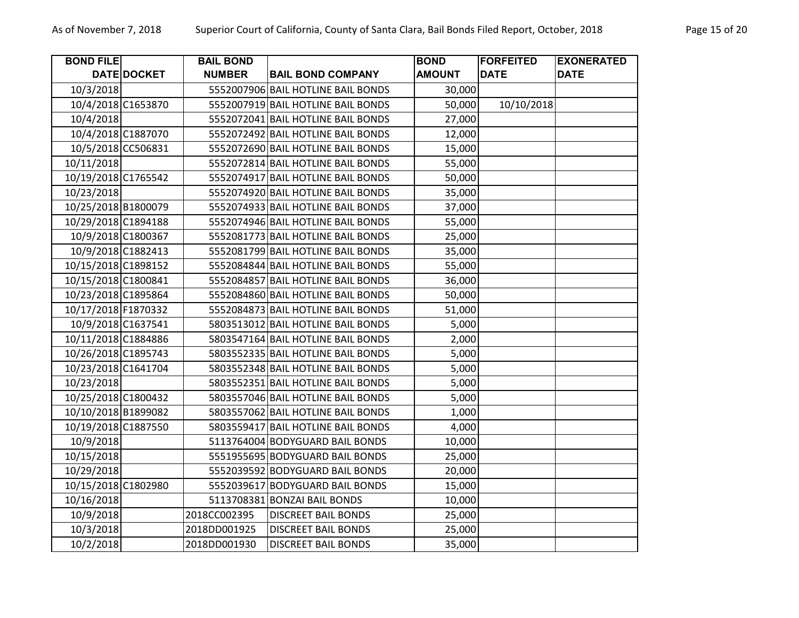| <b>BOND FILE</b>    |                    | <b>BAIL BOND</b> |                                    | <b>BOND</b>   | <b>FORFEITED</b> | <b>EXONERATED</b> |
|---------------------|--------------------|------------------|------------------------------------|---------------|------------------|-------------------|
|                     | DATE DOCKET        | <b>NUMBER</b>    | <b>BAIL BOND COMPANY</b>           | <b>AMOUNT</b> | <b>DATE</b>      | <b>DATE</b>       |
| 10/3/2018           |                    |                  | 5552007906 BAIL HOTLINE BAIL BONDS | 30,000        |                  |                   |
|                     | 10/4/2018 C1653870 |                  | 5552007919 BAIL HOTLINE BAIL BONDS | 50,000        | 10/10/2018       |                   |
| 10/4/2018           |                    |                  | 5552072041 BAIL HOTLINE BAIL BONDS | 27,000        |                  |                   |
|                     | 10/4/2018 C1887070 |                  | 5552072492 BAIL HOTLINE BAIL BONDS | 12,000        |                  |                   |
|                     | 10/5/2018 CC506831 |                  | 5552072690 BAIL HOTLINE BAIL BONDS | 15,000        |                  |                   |
| 10/11/2018          |                    |                  | 5552072814 BAIL HOTLINE BAIL BONDS | 55,000        |                  |                   |
| 10/19/2018 C1765542 |                    |                  | 5552074917 BAIL HOTLINE BAIL BONDS | 50,000        |                  |                   |
| 10/23/2018          |                    |                  | 5552074920 BAIL HOTLINE BAIL BONDS | 35,000        |                  |                   |
| 10/25/2018 B1800079 |                    |                  | 5552074933 BAIL HOTLINE BAIL BONDS | 37,000        |                  |                   |
| 10/29/2018 C1894188 |                    |                  | 5552074946 BAIL HOTLINE BAIL BONDS | 55,000        |                  |                   |
|                     | 10/9/2018 C1800367 |                  | 5552081773 BAIL HOTLINE BAIL BONDS | 25,000        |                  |                   |
|                     | 10/9/2018 C1882413 |                  | 5552081799 BAIL HOTLINE BAIL BONDS | 35,000        |                  |                   |
| 10/15/2018 C1898152 |                    |                  | 5552084844 BAIL HOTLINE BAIL BONDS | 55,000        |                  |                   |
| 10/15/2018 C1800841 |                    |                  | 5552084857 BAIL HOTLINE BAIL BONDS | 36,000        |                  |                   |
| 10/23/2018 C1895864 |                    |                  | 5552084860 BAIL HOTLINE BAIL BONDS | 50,000        |                  |                   |
| 10/17/2018 F1870332 |                    |                  | 5552084873 BAIL HOTLINE BAIL BONDS | 51,000        |                  |                   |
|                     | 10/9/2018 C1637541 |                  | 5803513012 BAIL HOTLINE BAIL BONDS | 5,000         |                  |                   |
| 10/11/2018 C1884886 |                    |                  | 5803547164 BAIL HOTLINE BAIL BONDS | 2,000         |                  |                   |
| 10/26/2018 C1895743 |                    |                  | 5803552335 BAIL HOTLINE BAIL BONDS | 5,000         |                  |                   |
| 10/23/2018 C1641704 |                    |                  | 5803552348 BAIL HOTLINE BAIL BONDS | 5,000         |                  |                   |
| 10/23/2018          |                    |                  | 5803552351 BAIL HOTLINE BAIL BONDS | 5,000         |                  |                   |
| 10/25/2018 C1800432 |                    |                  | 5803557046 BAIL HOTLINE BAIL BONDS | 5,000         |                  |                   |
| 10/10/2018 B1899082 |                    |                  | 5803557062 BAIL HOTLINE BAIL BONDS | 1,000         |                  |                   |
| 10/19/2018 C1887550 |                    |                  | 5803559417 BAIL HOTLINE BAIL BONDS | 4,000         |                  |                   |
| 10/9/2018           |                    |                  | 5113764004 BODYGUARD BAIL BONDS    | 10,000        |                  |                   |
| 10/15/2018          |                    |                  | 5551955695 BODYGUARD BAIL BONDS    | 25,000        |                  |                   |
| 10/29/2018          |                    |                  | 5552039592 BODYGUARD BAIL BONDS    | 20,000        |                  |                   |
| 10/15/2018 C1802980 |                    |                  | 5552039617 BODYGUARD BAIL BONDS    | 15,000        |                  |                   |
| 10/16/2018          |                    |                  | 5113708381 BONZAI BAIL BONDS       | 10,000        |                  |                   |
| 10/9/2018           |                    | 2018CC002395     | <b>DISCREET BAIL BONDS</b>         | 25,000        |                  |                   |
| 10/3/2018           |                    | 2018DD001925     | <b>DISCREET BAIL BONDS</b>         | 25,000        |                  |                   |
| 10/2/2018           |                    | 2018DD001930     | <b>DISCREET BAIL BONDS</b>         | 35,000        |                  |                   |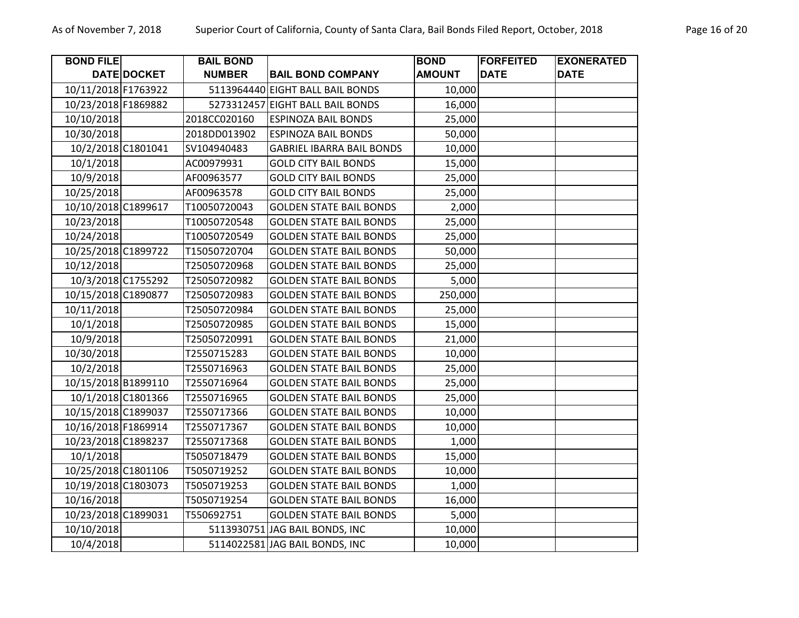| <b>BOND FILE</b>    |                    | <b>BAIL BOND</b> |                                  | <b>BOND</b>   | <b>FORFEITED</b> | <b>EXONERATED</b> |
|---------------------|--------------------|------------------|----------------------------------|---------------|------------------|-------------------|
|                     | DATE DOCKET        | <b>NUMBER</b>    | <b>BAIL BOND COMPANY</b>         | <b>AMOUNT</b> | <b>DATE</b>      | <b>DATE</b>       |
| 10/11/2018 F1763922 |                    |                  | 5113964440 EIGHT BALL BAIL BONDS | 10,000        |                  |                   |
| 10/23/2018 F1869882 |                    |                  | 5273312457 EIGHT BALL BAIL BONDS | 16,000        |                  |                   |
| 10/10/2018          |                    | 2018CC020160     | <b>ESPINOZA BAIL BONDS</b>       | 25,000        |                  |                   |
| 10/30/2018          |                    | 2018DD013902     | <b>ESPINOZA BAIL BONDS</b>       | 50,000        |                  |                   |
| 10/2/2018 C1801041  |                    | SV104940483      | <b>GABRIEL IBARRA BAIL BONDS</b> | 10,000        |                  |                   |
| 10/1/2018           |                    | AC00979931       | <b>GOLD CITY BAIL BONDS</b>      | 15,000        |                  |                   |
| 10/9/2018           |                    | AF00963577       | <b>GOLD CITY BAIL BONDS</b>      | 25,000        |                  |                   |
| 10/25/2018          |                    | AF00963578       | <b>GOLD CITY BAIL BONDS</b>      | 25,000        |                  |                   |
| 10/10/2018 C1899617 |                    | T10050720043     | <b>GOLDEN STATE BAIL BONDS</b>   | 2,000         |                  |                   |
| 10/23/2018          |                    | T10050720548     | <b>GOLDEN STATE BAIL BONDS</b>   | 25,000        |                  |                   |
| 10/24/2018          |                    | T10050720549     | <b>GOLDEN STATE BAIL BONDS</b>   | 25,000        |                  |                   |
| 10/25/2018 C1899722 |                    | T15050720704     | <b>GOLDEN STATE BAIL BONDS</b>   | 50,000        |                  |                   |
| 10/12/2018          |                    | T25050720968     | <b>GOLDEN STATE BAIL BONDS</b>   | 25,000        |                  |                   |
| 10/3/2018 C1755292  |                    | T25050720982     | <b>GOLDEN STATE BAIL BONDS</b>   | 5,000         |                  |                   |
| 10/15/2018 C1890877 |                    | T25050720983     | <b>GOLDEN STATE BAIL BONDS</b>   | 250,000       |                  |                   |
| 10/11/2018          |                    | T25050720984     | <b>GOLDEN STATE BAIL BONDS</b>   | 25,000        |                  |                   |
| 10/1/2018           |                    | T25050720985     | <b>GOLDEN STATE BAIL BONDS</b>   | 15,000        |                  |                   |
| 10/9/2018           |                    | T25050720991     | <b>GOLDEN STATE BAIL BONDS</b>   | 21,000        |                  |                   |
| 10/30/2018          |                    | T2550715283      | <b>GOLDEN STATE BAIL BONDS</b>   | 10,000        |                  |                   |
| 10/2/2018           |                    | T2550716963      | <b>GOLDEN STATE BAIL BONDS</b>   | 25,000        |                  |                   |
| 10/15/2018 B1899110 |                    | T2550716964      | <b>GOLDEN STATE BAIL BONDS</b>   | 25,000        |                  |                   |
|                     | 10/1/2018 C1801366 | T2550716965      | <b>GOLDEN STATE BAIL BONDS</b>   | 25,000        |                  |                   |
| 10/15/2018 C1899037 |                    | T2550717366      | <b>GOLDEN STATE BAIL BONDS</b>   | 10,000        |                  |                   |
| 10/16/2018 F1869914 |                    | T2550717367      | <b>GOLDEN STATE BAIL BONDS</b>   | 10,000        |                  |                   |
| 10/23/2018 C1898237 |                    | T2550717368      | <b>GOLDEN STATE BAIL BONDS</b>   | 1,000         |                  |                   |
| 10/1/2018           |                    | T5050718479      | <b>GOLDEN STATE BAIL BONDS</b>   | 15,000        |                  |                   |
| 10/25/2018 C1801106 |                    | T5050719252      | <b>GOLDEN STATE BAIL BONDS</b>   | 10,000        |                  |                   |
| 10/19/2018 C1803073 |                    | T5050719253      | <b>GOLDEN STATE BAIL BONDS</b>   | 1,000         |                  |                   |
| 10/16/2018          |                    | T5050719254      | <b>GOLDEN STATE BAIL BONDS</b>   | 16,000        |                  |                   |
| 10/23/2018 C1899031 |                    | T550692751       | <b>GOLDEN STATE BAIL BONDS</b>   | 5,000         |                  |                   |
| 10/10/2018          |                    |                  | 5113930751 JAG BAIL BONDS, INC   | 10,000        |                  |                   |
| 10/4/2018           |                    |                  | 5114022581 JAG BAIL BONDS, INC   | 10,000        |                  |                   |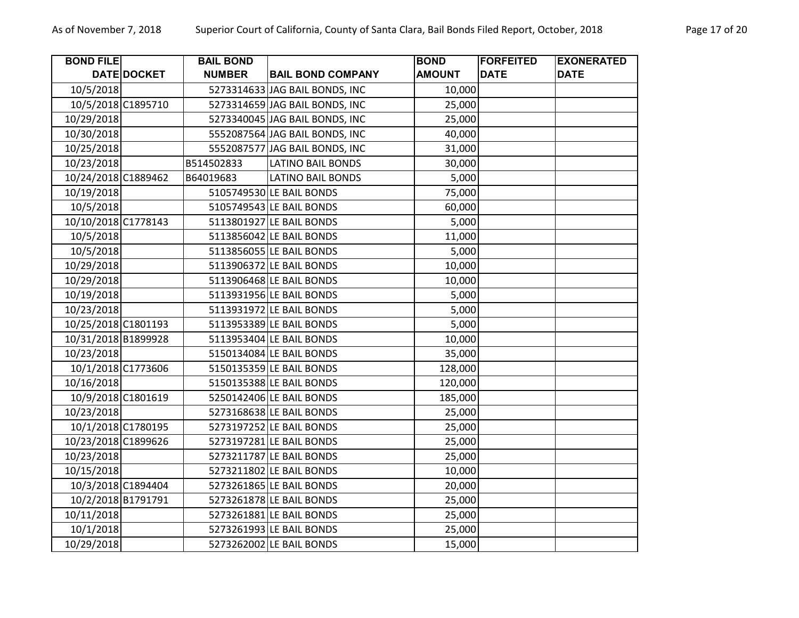| <b>BOND FILE</b>    |                    | <b>BAIL BOND</b> |                                | <b>BOND</b>   | <b>FORFEITED</b> | <b>EXONERATED</b> |
|---------------------|--------------------|------------------|--------------------------------|---------------|------------------|-------------------|
|                     | DATE DOCKET        | <b>NUMBER</b>    | <b>BAIL BOND COMPANY</b>       | <b>AMOUNT</b> | <b>DATE</b>      | <b>DATE</b>       |
| 10/5/2018           |                    |                  | 5273314633 JAG BAIL BONDS, INC | 10,000        |                  |                   |
|                     | 10/5/2018 C1895710 |                  | 5273314659 JAG BAIL BONDS, INC | 25,000        |                  |                   |
| 10/29/2018          |                    |                  | 5273340045 JAG BAIL BONDS, INC | 25,000        |                  |                   |
| 10/30/2018          |                    |                  | 5552087564 JAG BAIL BONDS, INC | 40,000        |                  |                   |
| 10/25/2018          |                    |                  | 5552087577 JAG BAIL BONDS, INC | 31,000        |                  |                   |
| 10/23/2018          |                    | B514502833       | <b>LATINO BAIL BONDS</b>       | 30,000        |                  |                   |
| 10/24/2018 C1889462 |                    | B64019683        | <b>LATINO BAIL BONDS</b>       | 5,000         |                  |                   |
| 10/19/2018          |                    |                  | 5105749530 LE BAIL BONDS       | 75,000        |                  |                   |
| 10/5/2018           |                    |                  | 5105749543 LE BAIL BONDS       | 60,000        |                  |                   |
| 10/10/2018 C1778143 |                    |                  | 5113801927 LE BAIL BONDS       | 5,000         |                  |                   |
| 10/5/2018           |                    |                  | 5113856042 LE BAIL BONDS       | 11,000        |                  |                   |
| 10/5/2018           |                    |                  | 5113856055 LE BAIL BONDS       | 5,000         |                  |                   |
| 10/29/2018          |                    |                  | 5113906372 LE BAIL BONDS       | 10,000        |                  |                   |
| 10/29/2018          |                    |                  | 5113906468 LE BAIL BONDS       | 10,000        |                  |                   |
| 10/19/2018          |                    |                  | 5113931956 LE BAIL BONDS       | 5,000         |                  |                   |
| 10/23/2018          |                    |                  | 5113931972 LE BAIL BONDS       | 5,000         |                  |                   |
| 10/25/2018 C1801193 |                    |                  | 5113953389 LE BAIL BONDS       | 5,000         |                  |                   |
| 10/31/2018 B1899928 |                    |                  | 5113953404 LE BAIL BONDS       | 10,000        |                  |                   |
| 10/23/2018          |                    |                  | 5150134084 LE BAIL BONDS       | 35,000        |                  |                   |
|                     | 10/1/2018 C1773606 |                  | 5150135359 LE BAIL BONDS       | 128,000       |                  |                   |
| 10/16/2018          |                    |                  | 5150135388 LE BAIL BONDS       | 120,000       |                  |                   |
|                     | 10/9/2018 C1801619 |                  | 5250142406 LE BAIL BONDS       | 185,000       |                  |                   |
| 10/23/2018          |                    |                  | 5273168638 LE BAIL BONDS       | 25,000        |                  |                   |
|                     | 10/1/2018 C1780195 |                  | 5273197252 LE BAIL BONDS       | 25,000        |                  |                   |
| 10/23/2018 C1899626 |                    |                  | 5273197281 LE BAIL BONDS       | 25,000        |                  |                   |
| 10/23/2018          |                    |                  | 5273211787 LE BAIL BONDS       | 25,000        |                  |                   |
| 10/15/2018          |                    |                  | 5273211802 LE BAIL BONDS       | 10,000        |                  |                   |
|                     | 10/3/2018 C1894404 |                  | 5273261865 LE BAIL BONDS       | 20,000        |                  |                   |
|                     | 10/2/2018 B1791791 |                  | 5273261878 LE BAIL BONDS       | 25,000        |                  |                   |
| 10/11/2018          |                    |                  | 5273261881 LE BAIL BONDS       | 25,000        |                  |                   |
| 10/1/2018           |                    |                  | 5273261993 LE BAIL BONDS       | 25,000        |                  |                   |
| 10/29/2018          |                    |                  | 5273262002 LE BAIL BONDS       | 15,000        |                  |                   |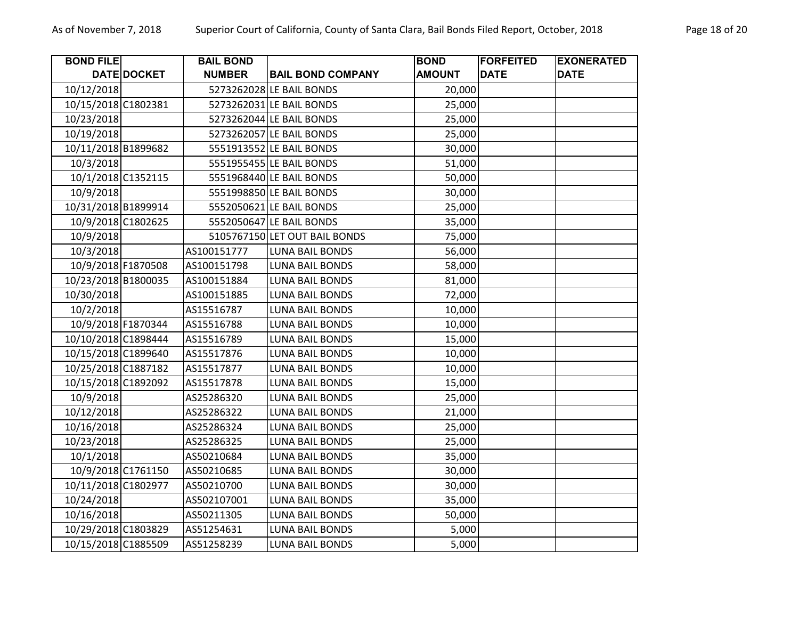| <b>BOND FILE</b>    |                    | <b>BAIL BOND</b> |                               | <b>BOND</b>   | <b>FORFEITED</b> | <b>EXONERATED</b> |
|---------------------|--------------------|------------------|-------------------------------|---------------|------------------|-------------------|
|                     | DATE DOCKET        | <b>NUMBER</b>    | <b>BAIL BOND COMPANY</b>      | <b>AMOUNT</b> | <b>DATE</b>      | <b>DATE</b>       |
| 10/12/2018          |                    |                  | 5273262028 LE BAIL BONDS      | 20,000        |                  |                   |
| 10/15/2018 C1802381 |                    |                  | 5273262031 LE BAIL BONDS      | 25,000        |                  |                   |
| 10/23/2018          |                    |                  | 5273262044 LE BAIL BONDS      | 25,000        |                  |                   |
| 10/19/2018          |                    |                  | 5273262057 LE BAIL BONDS      | 25,000        |                  |                   |
| 10/11/2018 B1899682 |                    |                  | 5551913552 LE BAIL BONDS      | 30,000        |                  |                   |
| 10/3/2018           |                    |                  | 5551955455 LE BAIL BONDS      | 51,000        |                  |                   |
|                     | 10/1/2018 C1352115 |                  | 5551968440 LE BAIL BONDS      | 50,000        |                  |                   |
| 10/9/2018           |                    |                  | 5551998850 LE BAIL BONDS      | 30,000        |                  |                   |
| 10/31/2018 B1899914 |                    |                  | 5552050621 LE BAIL BONDS      | 25,000        |                  |                   |
| 10/9/2018 C1802625  |                    |                  | 5552050647 LE BAIL BONDS      | 35,000        |                  |                   |
| 10/9/2018           |                    |                  | 5105767150 LET OUT BAIL BONDS | 75,000        |                  |                   |
| 10/3/2018           |                    | AS100151777      | <b>LUNA BAIL BONDS</b>        | 56,000        |                  |                   |
|                     | 10/9/2018 F1870508 | AS100151798      | LUNA BAIL BONDS               | 58,000        |                  |                   |
| 10/23/2018 B1800035 |                    | AS100151884      | <b>LUNA BAIL BONDS</b>        | 81,000        |                  |                   |
| 10/30/2018          |                    | AS100151885      | <b>LUNA BAIL BONDS</b>        | 72,000        |                  |                   |
| 10/2/2018           |                    | AS15516787       | LUNA BAIL BONDS               | 10,000        |                  |                   |
| 10/9/2018 F1870344  |                    | AS15516788       | <b>LUNA BAIL BONDS</b>        | 10,000        |                  |                   |
| 10/10/2018 C1898444 |                    | AS15516789       | <b>LUNA BAIL BONDS</b>        | 15,000        |                  |                   |
| 10/15/2018 C1899640 |                    | AS15517876       | <b>LUNA BAIL BONDS</b>        | 10,000        |                  |                   |
| 10/25/2018 C1887182 |                    | AS15517877       | <b>LUNA BAIL BONDS</b>        | 10,000        |                  |                   |
| 10/15/2018 C1892092 |                    | AS15517878       | <b>LUNA BAIL BONDS</b>        | 15,000        |                  |                   |
| 10/9/2018           |                    | AS25286320       | LUNA BAIL BONDS               | 25,000        |                  |                   |
| 10/12/2018          |                    | AS25286322       | <b>LUNA BAIL BONDS</b>        | 21,000        |                  |                   |
| 10/16/2018          |                    | AS25286324       | <b>LUNA BAIL BONDS</b>        | 25,000        |                  |                   |
| 10/23/2018          |                    | AS25286325       | LUNA BAIL BONDS               | 25,000        |                  |                   |
| 10/1/2018           |                    | AS50210684       | <b>LUNA BAIL BONDS</b>        | 35,000        |                  |                   |
|                     | 10/9/2018 C1761150 | AS50210685       | LUNA BAIL BONDS               | 30,000        |                  |                   |
| 10/11/2018 C1802977 |                    | AS50210700       | <b>LUNA BAIL BONDS</b>        | 30,000        |                  |                   |
| 10/24/2018          |                    | AS502107001      | LUNA BAIL BONDS               | 35,000        |                  |                   |
| 10/16/2018          |                    | AS50211305       | LUNA BAIL BONDS               | 50,000        |                  |                   |
| 10/29/2018 C1803829 |                    | AS51254631       | LUNA BAIL BONDS               | 5,000         |                  |                   |
| 10/15/2018 C1885509 |                    | AS51258239       | LUNA BAIL BONDS               | 5,000         |                  |                   |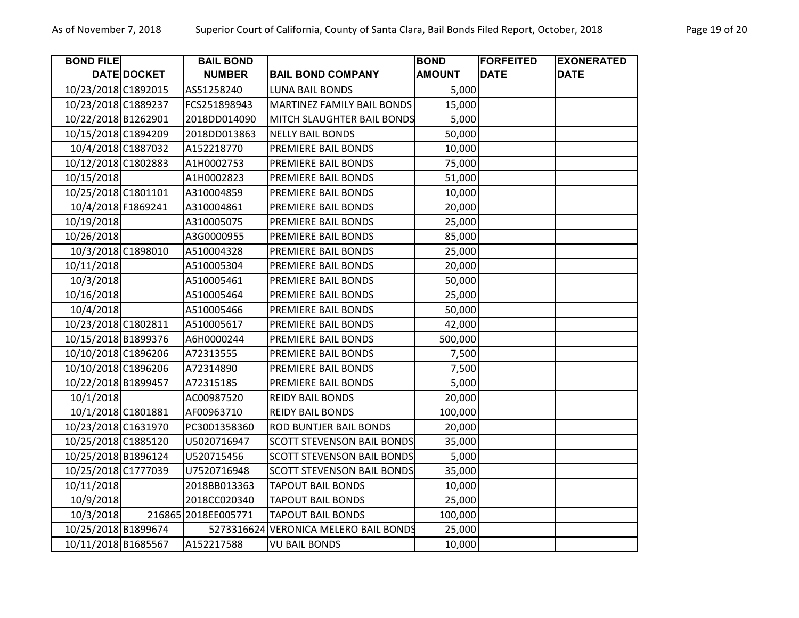| <b>BOND FILE</b>    |             | <b>BAIL BOND</b>    |                                       | <b>BOND</b>   | <b>FORFEITED</b> | <b>EXONERATED</b> |
|---------------------|-------------|---------------------|---------------------------------------|---------------|------------------|-------------------|
|                     | DATE DOCKET | <b>NUMBER</b>       | <b>BAIL BOND COMPANY</b>              | <b>AMOUNT</b> | <b>DATE</b>      | <b>DATE</b>       |
| 10/23/2018 C1892015 |             | AS51258240          | <b>LUNA BAIL BONDS</b>                | 5,000         |                  |                   |
| 10/23/2018 C1889237 |             | FCS251898943        | MARTINEZ FAMILY BAIL BONDS            | 15,000        |                  |                   |
| 10/22/2018 B1262901 |             | 2018DD014090        | MITCH SLAUGHTER BAIL BONDS            | 5,000         |                  |                   |
| 10/15/2018 C1894209 |             | 2018DD013863        | <b>NELLY BAIL BONDS</b>               | 50,000        |                  |                   |
| 10/4/2018 C1887032  |             | A152218770          | PREMIERE BAIL BONDS                   | 10,000        |                  |                   |
| 10/12/2018 C1802883 |             | A1H0002753          | PREMIERE BAIL BONDS                   | 75,000        |                  |                   |
| 10/15/2018          |             | A1H0002823          | PREMIERE BAIL BONDS                   | 51,000        |                  |                   |
| 10/25/2018 C1801101 |             | A310004859          | PREMIERE BAIL BONDS                   | 10,000        |                  |                   |
| 10/4/2018 F1869241  |             | A310004861          | PREMIERE BAIL BONDS                   | 20,000        |                  |                   |
| 10/19/2018          |             | A310005075          | PREMIERE BAIL BONDS                   | 25,000        |                  |                   |
| 10/26/2018          |             | A3G0000955          | PREMIERE BAIL BONDS                   | 85,000        |                  |                   |
| 10/3/2018 C1898010  |             | A510004328          | PREMIERE BAIL BONDS                   | 25,000        |                  |                   |
| 10/11/2018          |             | A510005304          | PREMIERE BAIL BONDS                   | 20,000        |                  |                   |
| 10/3/2018           |             | A510005461          | PREMIERE BAIL BONDS                   | 50,000        |                  |                   |
| 10/16/2018          |             | A510005464          | PREMIERE BAIL BONDS                   | 25,000        |                  |                   |
| 10/4/2018           |             | A510005466          | PREMIERE BAIL BONDS                   | 50,000        |                  |                   |
| 10/23/2018 C1802811 |             | A510005617          | PREMIERE BAIL BONDS                   | 42,000        |                  |                   |
| 10/15/2018 B1899376 |             | A6H0000244          | PREMIERE BAIL BONDS                   | 500,000       |                  |                   |
| 10/10/2018 C1896206 |             | A72313555           | PREMIERE BAIL BONDS                   | 7,500         |                  |                   |
| 10/10/2018 C1896206 |             | A72314890           | PREMIERE BAIL BONDS                   | 7,500         |                  |                   |
| 10/22/2018 B1899457 |             | A72315185           | PREMIERE BAIL BONDS                   | 5,000         |                  |                   |
| 10/1/2018           |             | AC00987520          | <b>REIDY BAIL BONDS</b>               | 20,000        |                  |                   |
| 10/1/2018 C1801881  |             | AF00963710          | <b>REIDY BAIL BONDS</b>               | 100,000       |                  |                   |
| 10/23/2018 C1631970 |             | PC3001358360        | ROD BUNTJER BAIL BONDS                | 20,000        |                  |                   |
| 10/25/2018 C1885120 |             | U5020716947         | <b>SCOTT STEVENSON BAIL BONDS</b>     | 35,000        |                  |                   |
| 10/25/2018 B1896124 |             | U520715456          | <b>SCOTT STEVENSON BAIL BONDS</b>     | 5,000         |                  |                   |
| 10/25/2018 C1777039 |             | U7520716948         | <b>SCOTT STEVENSON BAIL BONDS</b>     | 35,000        |                  |                   |
| 10/11/2018          |             | 2018BB013363        | <b>TAPOUT BAIL BONDS</b>              | 10,000        |                  |                   |
| 10/9/2018           |             | 2018CC020340        | <b>TAPOUT BAIL BONDS</b>              | 25,000        |                  |                   |
| 10/3/2018           |             | 216865 2018EE005771 | <b>TAPOUT BAIL BONDS</b>              | 100,000       |                  |                   |
| 10/25/2018 B1899674 |             |                     | 5273316624 VERONICA MELERO BAIL BONDS | 25,000        |                  |                   |
| 10/11/2018 B1685567 |             | A152217588          | <b>VU BAIL BONDS</b>                  | 10,000        |                  |                   |